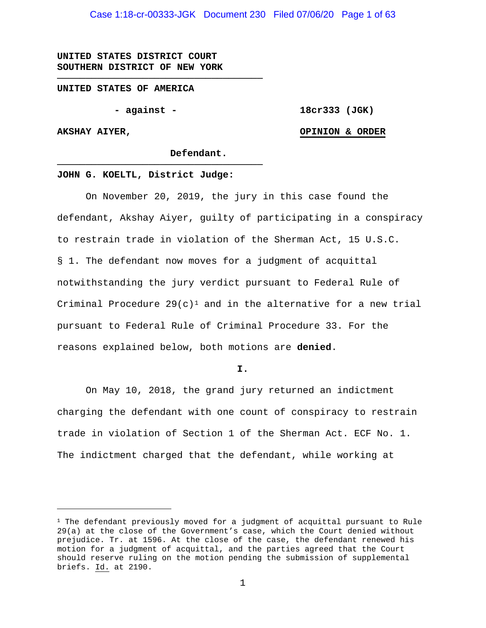**UNITED STATES DISTRICT COURT SOUTHERN DISTRICT OF NEW YORK**

#### **UNITED STATES OF AMERICA**

**- against -**

**────────────────────────────────────**

**18cr333 (JGK)**

#### **AKSHAY AIYER,**

#### **OPINION & ORDER**

**Defendant.**

#### **JOHN G. KOELTL, District Judge:**

**────────────────────────────────────**

On November 20, 2019, the jury in this case found the defendant, Akshay Aiyer, guilty of participating in a conspiracy to restrain trade in violation of the Sherman Act, 15 U.S.C. § 1. The defendant now moves for a judgment of acquittal notwithstanding the jury verdict pursuant to Federal Rule of Criminal Procedure  $29(c)^1$  and in the alternative for a new trial pursuant to Federal Rule of Criminal Procedure 33. For the reasons explained below, both motions are **denied**.

#### **I.**

On May 10, 2018, the grand jury returned an indictment charging the defendant with one count of conspiracy to restrain trade in violation of Section 1 of the Sherman Act. ECF No. 1. The indictment charged that the defendant, while working at

 $1$  The defendant previously moved for a judgment of acquittal pursuant to Rule 29(a) at the close of the Government's case, which the Court denied without prejudice. Tr. at 1596. At the close of the case, the defendant renewed his motion for a judgment of acquittal, and the parties agreed that the Court should reserve ruling on the motion pending the submission of supplemental briefs. Id. at 2190.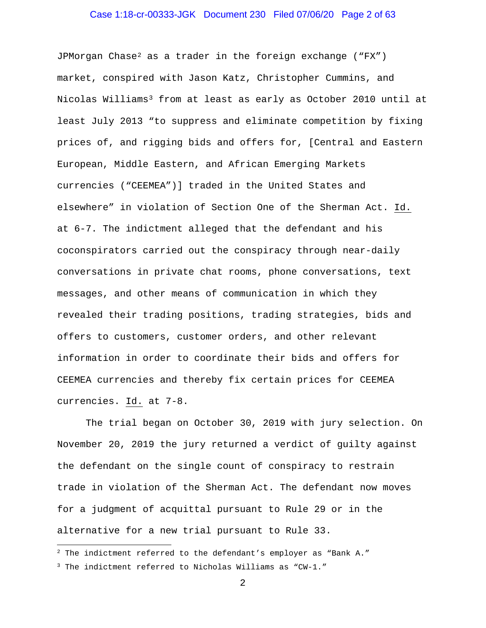# Case 1:18-cr-00333-JGK Document 230 Filed 07/06/20 Page 2 of 63

JPMorgan Chase2 as a trader in the foreign exchange ("FX") market, conspired with Jason Katz, Christopher Cummins, and Nicolas Williams3 from at least as early as October 2010 until at least July 2013 "to suppress and eliminate competition by fixing prices of, and rigging bids and offers for, [Central and Eastern European, Middle Eastern, and African Emerging Markets currencies ("CEEMEA")] traded in the United States and elsewhere" in violation of Section One of the Sherman Act. Id. at 6-7. The indictment alleged that the defendant and his coconspirators carried out the conspiracy through near-daily conversations in private chat rooms, phone conversations, text messages, and other means of communication in which they revealed their trading positions, trading strategies, bids and offers to customers, customer orders, and other relevant information in order to coordinate their bids and offers for CEEMEA currencies and thereby fix certain prices for CEEMEA currencies. Id. at 7-8.

The trial began on October 30, 2019 with jury selection. On November 20, 2019 the jury returned a verdict of guilty against the defendant on the single count of conspiracy to restrain trade in violation of the Sherman Act. The defendant now moves for a judgment of acquittal pursuant to Rule 29 or in the alternative for a new trial pursuant to Rule 33.

 $2$  The indictment referred to the defendant's employer as "Bank A."

<sup>3</sup> The indictment referred to Nicholas Williams as "CW-1."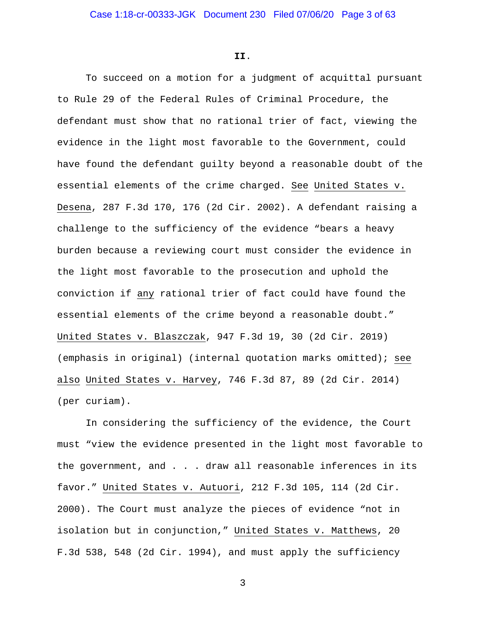**II**.

To succeed on a motion for a judgment of acquittal pursuant to Rule 29 of the Federal Rules of Criminal Procedure, the defendant must show that no rational trier of fact, viewing the evidence in the light most favorable to the Government, could have found the defendant guilty beyond a reasonable doubt of the essential elements of the crime charged. See United States v. Desena, 287 F.3d 170, 176 (2d Cir. 2002). A defendant raising a challenge to the sufficiency of the evidence "bears a heavy burden because a reviewing court must consider the evidence in the light most favorable to the prosecution and uphold the conviction if any rational trier of fact could have found the essential elements of the crime beyond a reasonable doubt." United States v. Blaszczak, 947 F.3d 19, 30 (2d Cir. 2019) (emphasis in original) (internal quotation marks omitted); see also United States v. Harvey, 746 F.3d 87, 89 (2d Cir. 2014) (per curiam).

In considering the sufficiency of the evidence, the Court must "view the evidence presented in the light most favorable to the government, and . . . draw all reasonable inferences in its favor." United States v. Autuori, 212 F.3d 105, 114 (2d Cir. 2000). The Court must analyze the pieces of evidence "not in isolation but in conjunction," United States v. Matthews, 20 F.3d 538, 548 (2d Cir. 1994), and must apply the sufficiency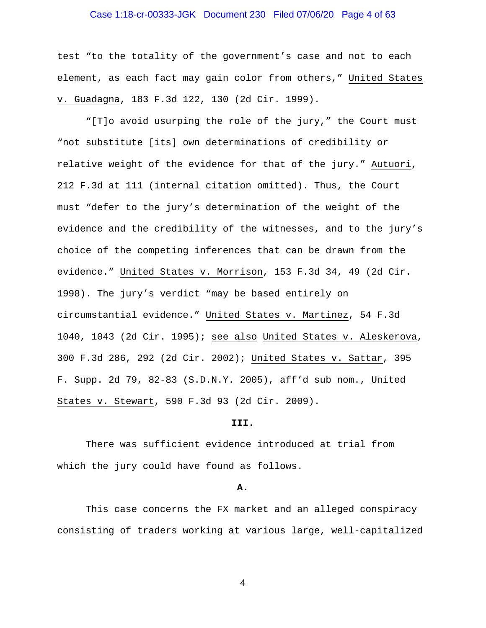# Case 1:18-cr-00333-JGK Document 230 Filed 07/06/20 Page 4 of 63

test "to the totality of the government's case and not to each element, as each fact may gain color from others," United States v. Guadagna, 183 F.3d 122, 130 (2d Cir. 1999).

"[T]o avoid usurping the role of the jury," the Court must "not substitute [its] own determinations of credibility or relative weight of the evidence for that of the jury." Autuori, 212 F.3d at 111 (internal citation omitted). Thus, the Court must "defer to the jury's determination of the weight of the evidence and the credibility of the witnesses, and to the jury's choice of the competing inferences that can be drawn from the evidence." United States v. Morrison, 153 F.3d 34, 49 (2d Cir. 1998). The jury's verdict "may be based entirely on circumstantial evidence." United States v. Martinez, 54 F.3d 1040, 1043 (2d Cir. 1995); see also United States v. Aleskerova, 300 F.3d 286, 292 (2d Cir. 2002); United States v. Sattar, 395 F. Supp. 2d 79, 82-83 (S.D.N.Y. 2005), aff'd sub nom., United States v. Stewart, 590 F.3d 93 (2d Cir. 2009).

#### **III.**

There was sufficient evidence introduced at trial from which the jury could have found as follows.

#### **A.**

This case concerns the FX market and an alleged conspiracy consisting of traders working at various large, well-capitalized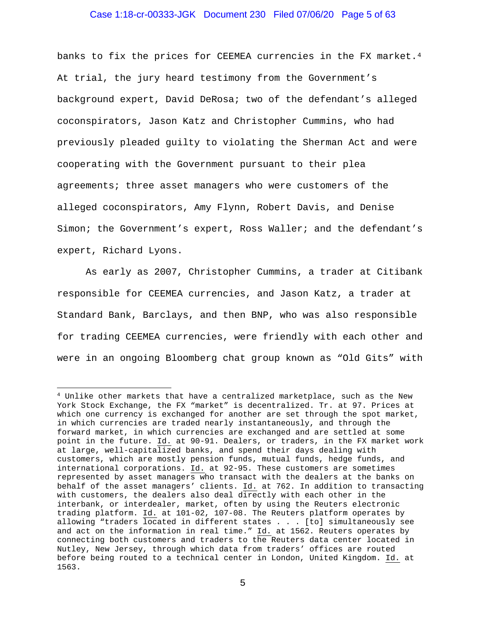#### Case 1:18-cr-00333-JGK Document 230 Filed 07/06/20 Page 5 of 63

banks to fix the prices for CEEMEA currencies in the FX market.<sup>4</sup> At trial, the jury heard testimony from the Government's background expert, David DeRosa; two of the defendant's alleged coconspirators, Jason Katz and Christopher Cummins, who had previously pleaded guilty to violating the Sherman Act and were cooperating with the Government pursuant to their plea agreements; three asset managers who were customers of the alleged coconspirators, Amy Flynn, Robert Davis, and Denise Simon; the Government's expert, Ross Waller; and the defendant's expert, Richard Lyons.

As early as 2007, Christopher Cummins, a trader at Citibank responsible for CEEMEA currencies, and Jason Katz, a trader at Standard Bank, Barclays, and then BNP, who was also responsible for trading CEEMEA currencies, were friendly with each other and were in an ongoing Bloomberg chat group known as "Old Gits" with

<sup>&</sup>lt;sup>4</sup> Unlike other markets that have a centralized marketplace, such as the New York Stock Exchange, the FX "market" is decentralized. Tr. at 97. Prices at which one currency is exchanged for another are set through the spot market, in which currencies are traded nearly instantaneously, and through the forward market, in which currencies are exchanged and are settled at some point in the future. Id. at 90-91. Dealers, or traders, in the FX market work at large, well-capitalized banks, and spend their days dealing with customers, which are mostly pension funds, mutual funds, hedge funds, and international corporations. Id. at 92-95. These customers are sometimes represented by asset managers who transact with the dealers at the banks on behalf of the asset managers' clients. Id. at 762. In addition to transacting with customers, the dealers also deal directly with each other in the interbank, or interdealer, market, often by using the Reuters electronic trading platform. Id. at 101-02, 107-08. The Reuters platform operates by allowing "traders located in different states . . . [to] simultaneously see and act on the information in real time."  $\underline{Id.}$  at 1562. Reuters operates by connecting both customers and traders to the Reuters data center located in Nutley, New Jersey, through which data from traders' offices are routed before being routed to a technical center in London, United Kingdom. Id. at 1563.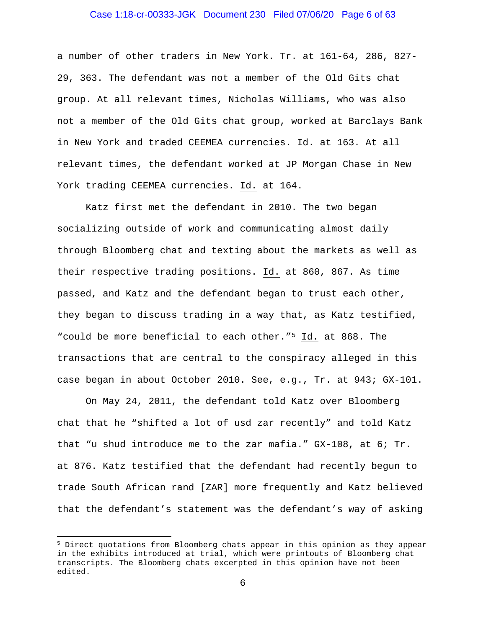# Case 1:18-cr-00333-JGK Document 230 Filed 07/06/20 Page 6 of 63

a number of other traders in New York. Tr. at 161-64, 286, 827- 29, 363. The defendant was not a member of the Old Gits chat group. At all relevant times, Nicholas Williams, who was also not a member of the Old Gits chat group, worked at Barclays Bank in New York and traded CEEMEA currencies. Id. at 163. At all relevant times, the defendant worked at JP Morgan Chase in New York trading CEEMEA currencies. Id. at 164.

Katz first met the defendant in 2010. The two began socializing outside of work and communicating almost daily through Bloomberg chat and texting about the markets as well as their respective trading positions. Id. at 860, 867. As time passed, and Katz and the defendant began to trust each other, they began to discuss trading in a way that, as Katz testified, "could be more beneficial to each other."5 Id. at 868. The transactions that are central to the conspiracy alleged in this case began in about October 2010. See, e.g., Tr. at 943; GX-101.

On May 24, 2011, the defendant told Katz over Bloomberg chat that he "shifted a lot of usd zar recently" and told Katz that "u shud introduce me to the zar mafia." GX-108, at 6; Tr. at 876. Katz testified that the defendant had recently begun to trade South African rand [ZAR] more frequently and Katz believed that the defendant's statement was the defendant's way of asking

<sup>5</sup> Direct quotations from Bloomberg chats appear in this opinion as they appear in the exhibits introduced at trial, which were printouts of Bloomberg chat transcripts. The Bloomberg chats excerpted in this opinion have not been edited.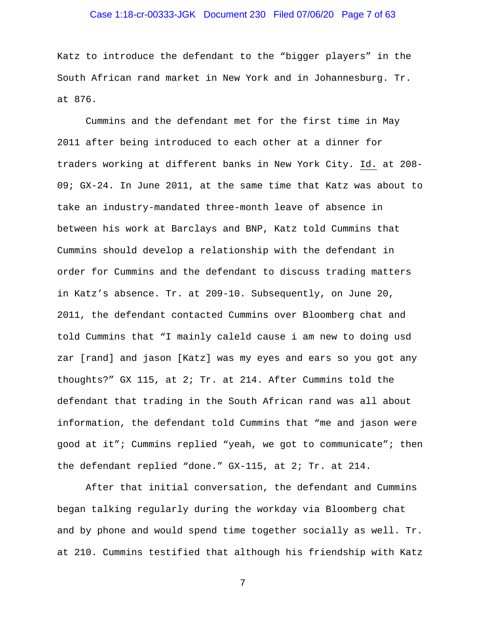# Case 1:18-cr-00333-JGK Document 230 Filed 07/06/20 Page 7 of 63

Katz to introduce the defendant to the "bigger players" in the South African rand market in New York and in Johannesburg. Tr. at 876.

Cummins and the defendant met for the first time in May 2011 after being introduced to each other at a dinner for traders working at different banks in New York City. Id. at 208- 09; GX-24. In June 2011, at the same time that Katz was about to take an industry-mandated three-month leave of absence in between his work at Barclays and BNP, Katz told Cummins that Cummins should develop a relationship with the defendant in order for Cummins and the defendant to discuss trading matters in Katz's absence. Tr. at 209-10. Subsequently, on June 20, 2011, the defendant contacted Cummins over Bloomberg chat and told Cummins that "I mainly caleld cause i am new to doing usd zar [rand] and jason [Katz] was my eyes and ears so you got any thoughts?" GX 115, at 2; Tr. at 214. After Cummins told the defendant that trading in the South African rand was all about information, the defendant told Cummins that "me and jason were good at it"; Cummins replied "yeah, we got to communicate"; then the defendant replied "done." GX-115, at 2; Tr. at 214.

After that initial conversation, the defendant and Cummins began talking regularly during the workday via Bloomberg chat and by phone and would spend time together socially as well. Tr. at 210. Cummins testified that although his friendship with Katz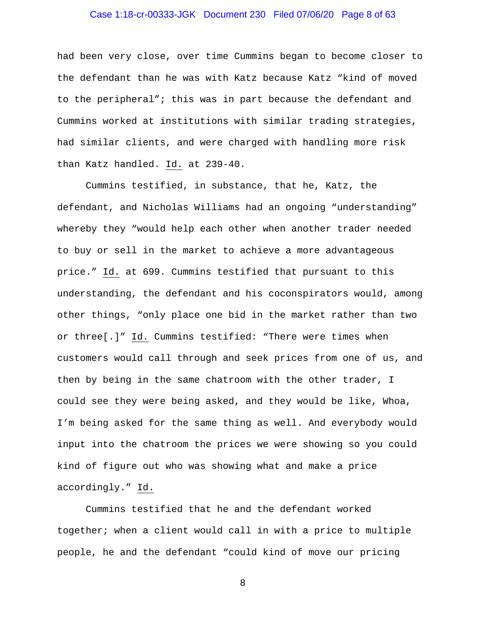# Case 1:18-cr-00333-JGK Document 230 Filed 07/06/20 Page 8 of 63

had been very close, over time Cummins began to become closer to the defendant than he was with Katz because Katz "kind of moved to the peripheral"; this was in part because the defendant and Cummins worked at institutions with similar trading strategies, had similar clients, and were charged with handling more risk than Katz handled. Id. at 239-40.

Cummins testified, in substance, that he, Katz, the defendant, and Nicholas Williams had an ongoing "understanding" whereby they "would help each other when another trader needed to buy or sell in the market to achieve a more advantageous price." Id. at 699. Cummins testified that pursuant to this understanding, the defendant and his coconspirators would, among other things, "only place one bid in the market rather than two or three[.]" Id. Cummins testified: "There were times when customers would call through and seek prices from one of us, and then by being in the same chatroom with the other trader, I could see they were being asked, and they would be like, Whoa, I'm being asked for the same thing as well. And everybody would input into the chatroom the prices we were showing so you could kind of figure out who was showing what and make a price accordingly." Id.

Cummins testified that he and the defendant worked together; when a client would call in with a price to multiple people, he and the defendant "could kind of move our pricing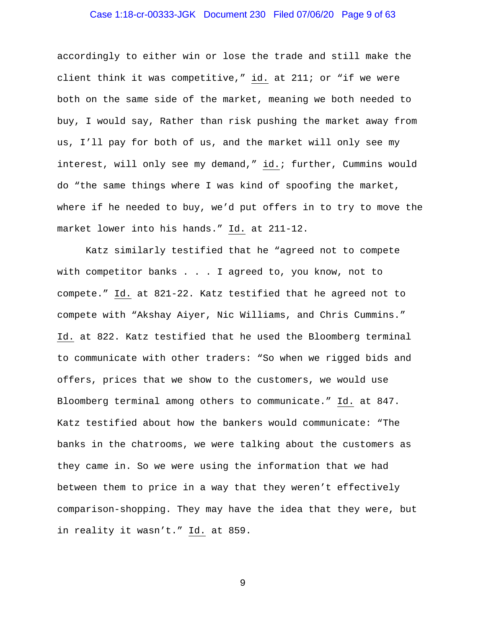# Case 1:18-cr-00333-JGK Document 230 Filed 07/06/20 Page 9 of 63

accordingly to either win or lose the trade and still make the client think it was competitive," id. at 211; or "if we were both on the same side of the market, meaning we both needed to buy, I would say, Rather than risk pushing the market away from us, I'll pay for both of us, and the market will only see my interest, will only see my demand," id.; further, Cummins would do "the same things where I was kind of spoofing the market, where if he needed to buy, we'd put offers in to try to move the market lower into his hands." Id. at 211-12.

Katz similarly testified that he "agreed not to compete with competitor banks . . . I agreed to, you know, not to compete." Id. at 821-22. Katz testified that he agreed not to compete with "Akshay Aiyer, Nic Williams, and Chris Cummins." Id. at 822. Katz testified that he used the Bloomberg terminal to communicate with other traders: "So when we rigged bids and offers, prices that we show to the customers, we would use Bloomberg terminal among others to communicate." Id. at 847. Katz testified about how the bankers would communicate: "The banks in the chatrooms, we were talking about the customers as they came in. So we were using the information that we had between them to price in a way that they weren't effectively comparison-shopping. They may have the idea that they were, but in reality it wasn't." Id. at 859.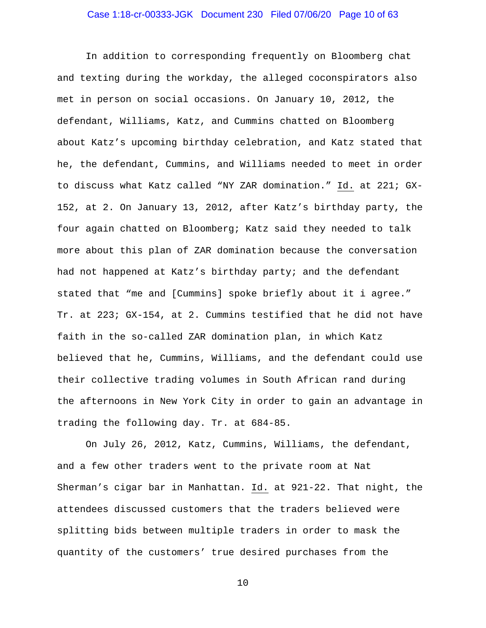### Case 1:18-cr-00333-JGK Document 230 Filed 07/06/20 Page 10 of 63

In addition to corresponding frequently on Bloomberg chat and texting during the workday, the alleged coconspirators also met in person on social occasions. On January 10, 2012, the defendant, Williams, Katz, and Cummins chatted on Bloomberg about Katz's upcoming birthday celebration, and Katz stated that he, the defendant, Cummins, and Williams needed to meet in order to discuss what Katz called "NY ZAR domination." Id. at 221; GX-152, at 2. On January 13, 2012, after Katz's birthday party, the four again chatted on Bloomberg; Katz said they needed to talk more about this plan of ZAR domination because the conversation had not happened at Katz's birthday party; and the defendant stated that "me and [Cummins] spoke briefly about it i agree." Tr. at 223; GX-154, at 2. Cummins testified that he did not have faith in the so-called ZAR domination plan, in which Katz believed that he, Cummins, Williams, and the defendant could use their collective trading volumes in South African rand during the afternoons in New York City in order to gain an advantage in trading the following day. Tr. at 684-85.

On July 26, 2012, Katz, Cummins, Williams, the defendant, and a few other traders went to the private room at Nat Sherman's cigar bar in Manhattan. Id. at 921-22. That night, the attendees discussed customers that the traders believed were splitting bids between multiple traders in order to mask the quantity of the customers' true desired purchases from the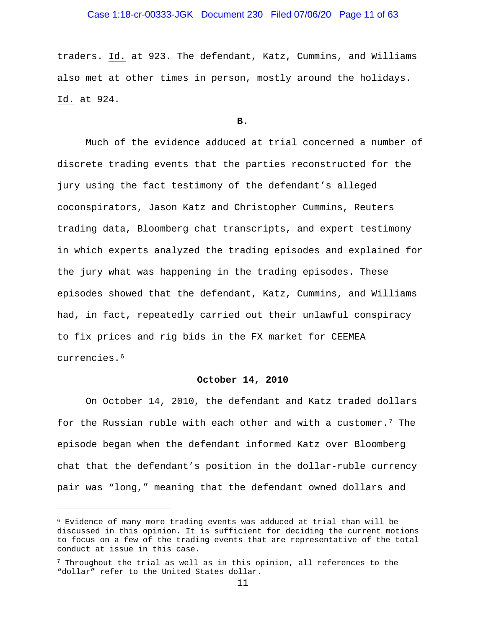# Case 1:18-cr-00333-JGK Document 230 Filed 07/06/20 Page 11 of 63

traders. Id. at 923. The defendant, Katz, Cummins, and Williams also met at other times in person, mostly around the holidays. Id. at 924.

**B.**

Much of the evidence adduced at trial concerned a number of discrete trading events that the parties reconstructed for the jury using the fact testimony of the defendant's alleged coconspirators, Jason Katz and Christopher Cummins, Reuters trading data, Bloomberg chat transcripts, and expert testimony in which experts analyzed the trading episodes and explained for the jury what was happening in the trading episodes. These episodes showed that the defendant, Katz, Cummins, and Williams had, in fact, repeatedly carried out their unlawful conspiracy to fix prices and rig bids in the FX market for CEEMEA currencies.6

## **October 14, 2010**

On October 14, 2010, the defendant and Katz traded dollars for the Russian ruble with each other and with a customer.7 The episode began when the defendant informed Katz over Bloomberg chat that the defendant's position in the dollar-ruble currency pair was "long," meaning that the defendant owned dollars and

<sup>6</sup> Evidence of many more trading events was adduced at trial than will be discussed in this opinion. It is sufficient for deciding the current motions to focus on a few of the trading events that are representative of the total conduct at issue in this case.

 $7$  Throughout the trial as well as in this opinion, all references to the "dollar" refer to the United States dollar.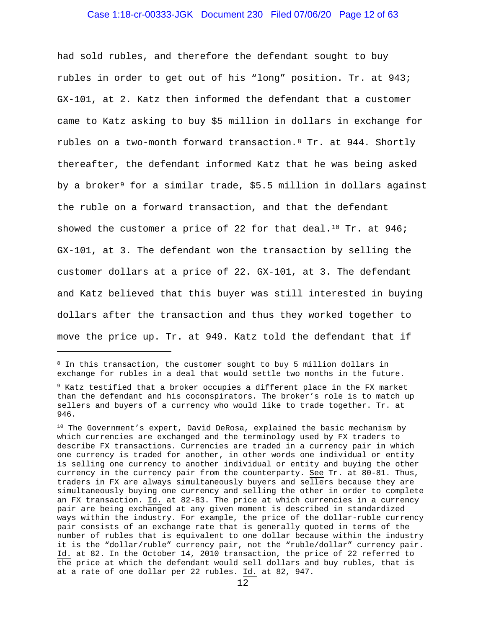# Case 1:18-cr-00333-JGK Document 230 Filed 07/06/20 Page 12 of 63

had sold rubles, and therefore the defendant sought to buy rubles in order to get out of his "long" position. Tr. at 943; GX-101, at 2. Katz then informed the defendant that a customer came to Katz asking to buy \$5 million in dollars in exchange for rubles on a two-month forward transaction.8 Tr. at 944. Shortly thereafter, the defendant informed Katz that he was being asked by a broker<sup>9</sup> for a similar trade, \$5.5 million in dollars against the ruble on a forward transaction, and that the defendant showed the customer a price of 22 for that deal.<sup>10</sup> Tr. at  $946i$ GX-101, at 3. The defendant won the transaction by selling the customer dollars at a price of 22. GX-101, at 3. The defendant and Katz believed that this buyer was still interested in buying dollars after the transaction and thus they worked together to move the price up. Tr. at 949. Katz told the defendant that if

<sup>&</sup>lt;sup>8</sup> In this transaction, the customer sought to buy 5 million dollars in exchange for rubles in a deal that would settle two months in the future.

<sup>9</sup> Katz testified that a broker occupies a different place in the FX market than the defendant and his coconspirators. The broker's role is to match up sellers and buyers of a currency who would like to trade together. Tr. at 946.

<sup>&</sup>lt;sup>10</sup> The Government's expert, David DeRosa, explained the basic mechanism by which currencies are exchanged and the terminology used by FX traders to describe FX transactions. Currencies are traded in a currency pair in which one currency is traded for another, in other words one individual or entity is selling one currency to another individual or entity and buying the other currency in the currency pair from the counterparty. See Tr. at 80-81. Thus, traders in FX are always simultaneously buyers and sellers because they are simultaneously buying one currency and selling the other in order to complete an FX transaction. Id. at 82-83. The price at which currencies in a currency pair are being exchanged at any given moment is described in standardized ways within the industry. For example, the price of the dollar-ruble currency pair consists of an exchange rate that is generally quoted in terms of the number of rubles that is equivalent to one dollar because within the industry it is the "dollar/ruble" currency pair, not the "ruble/dollar" currency pair. Id. at 82. In the October 14, 2010 transaction, the price of 22 referred to the price at which the defendant would sell dollars and buy rubles, that is at a rate of one dollar per 22 rubles. Id. at 82, 947.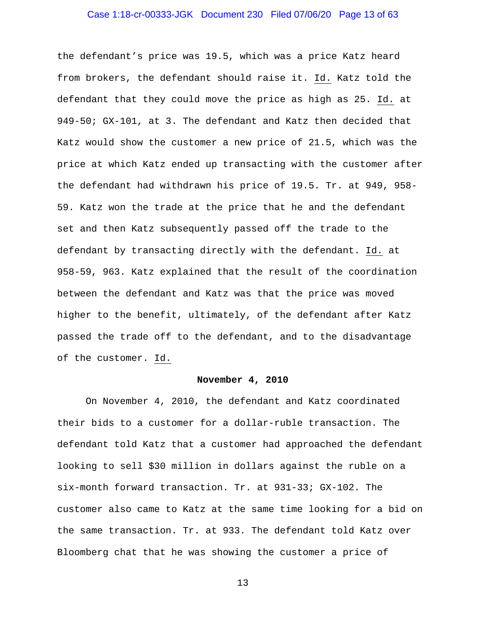# Case 1:18-cr-00333-JGK Document 230 Filed 07/06/20 Page 13 of 63

the defendant's price was 19.5, which was a price Katz heard from brokers, the defendant should raise it. Id. Katz told the defendant that they could move the price as high as 25. Id. at 949-50; GX-101, at 3. The defendant and Katz then decided that Katz would show the customer a new price of 21.5, which was the price at which Katz ended up transacting with the customer after the defendant had withdrawn his price of 19.5. Tr. at 949, 958- 59. Katz won the trade at the price that he and the defendant set and then Katz subsequently passed off the trade to the defendant by transacting directly with the defendant. Id. at 958-59, 963. Katz explained that the result of the coordination between the defendant and Katz was that the price was moved higher to the benefit, ultimately, of the defendant after Katz passed the trade off to the defendant, and to the disadvantage of the customer. Id.

## **November 4, 2010**

On November 4, 2010, the defendant and Katz coordinated their bids to a customer for a dollar-ruble transaction. The defendant told Katz that a customer had approached the defendant looking to sell \$30 million in dollars against the ruble on a six-month forward transaction. Tr. at 931-33; GX-102. The customer also came to Katz at the same time looking for a bid on the same transaction. Tr. at 933. The defendant told Katz over Bloomberg chat that he was showing the customer a price of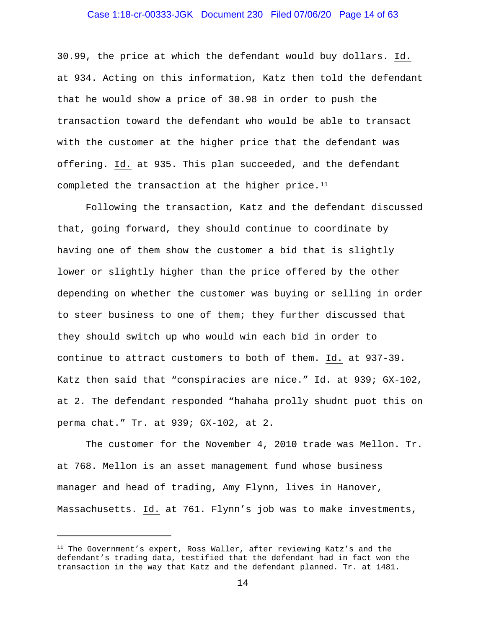#### Case 1:18-cr-00333-JGK Document 230 Filed 07/06/20 Page 14 of 63

30.99, the price at which the defendant would buy dollars. Id. at 934. Acting on this information, Katz then told the defendant that he would show a price of 30.98 in order to push the transaction toward the defendant who would be able to transact with the customer at the higher price that the defendant was offering. Id. at 935. This plan succeeded, and the defendant completed the transaction at the higher price. $11$ 

Following the transaction, Katz and the defendant discussed that, going forward, they should continue to coordinate by having one of them show the customer a bid that is slightly lower or slightly higher than the price offered by the other depending on whether the customer was buying or selling in order to steer business to one of them; they further discussed that they should switch up who would win each bid in order to continue to attract customers to both of them. Id. at 937-39. Katz then said that "conspiracies are nice." Id. at 939; GX-102, at 2. The defendant responded "hahaha prolly shudnt puot this on perma chat." Tr. at 939; GX-102, at 2.

The customer for the November 4, 2010 trade was Mellon. Tr. at 768. Mellon is an asset management fund whose business manager and head of trading, Amy Flynn, lives in Hanover, Massachusetts. Id. at 761. Flynn's job was to make investments,

<sup>&</sup>lt;sup>11</sup> The Government's expert, Ross Waller, after reviewing Katz's and the defendant's trading data, testified that the defendant had in fact won the transaction in the way that Katz and the defendant planned. Tr. at 1481.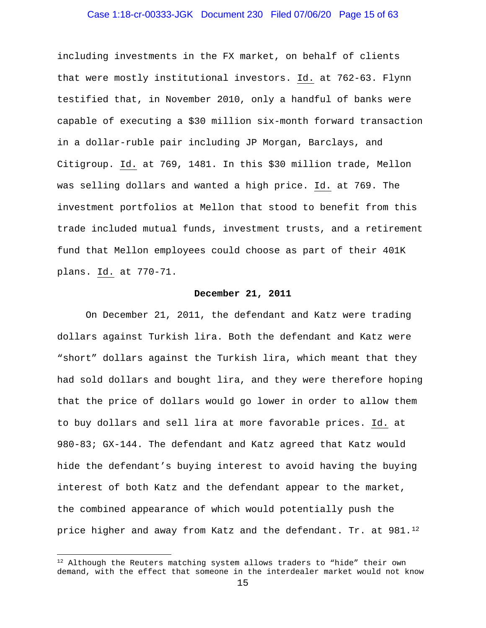# Case 1:18-cr-00333-JGK Document 230 Filed 07/06/20 Page 15 of 63

including investments in the FX market, on behalf of clients that were mostly institutional investors. Id. at 762-63. Flynn testified that, in November 2010, only a handful of banks were capable of executing a \$30 million six-month forward transaction in a dollar-ruble pair including JP Morgan, Barclays, and Citigroup. Id. at 769, 1481. In this \$30 million trade, Mellon was selling dollars and wanted a high price. Id. at 769. The investment portfolios at Mellon that stood to benefit from this trade included mutual funds, investment trusts, and a retirement fund that Mellon employees could choose as part of their 401K plans. Id. at 770-71.

#### **December 21, 2011**

On December 21, 2011, the defendant and Katz were trading dollars against Turkish lira. Both the defendant and Katz were "short" dollars against the Turkish lira, which meant that they had sold dollars and bought lira, and they were therefore hoping that the price of dollars would go lower in order to allow them to buy dollars and sell lira at more favorable prices. Id. at 980-83; GX-144. The defendant and Katz agreed that Katz would hide the defendant's buying interest to avoid having the buying interest of both Katz and the defendant appear to the market, the combined appearance of which would potentially push the price higher and away from Katz and the defendant. Tr. at 981.<sup>12</sup>

 $12$  Although the Reuters matching system allows traders to "hide" their own demand, with the effect that someone in the interdealer market would not know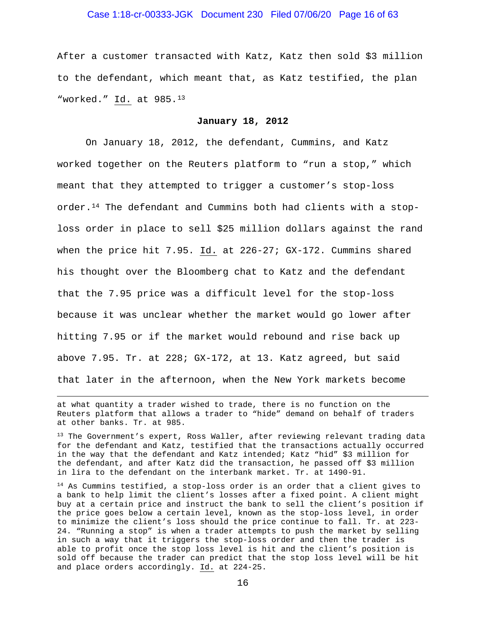# Case 1:18-cr-00333-JGK Document 230 Filed 07/06/20 Page 16 of 63

After a customer transacted with Katz, Katz then sold \$3 million to the defendant, which meant that, as Katz testified, the plan "worked." Id. at 985.13

#### **January 18, 2012**

On January 18, 2012, the defendant, Cummins, and Katz worked together on the Reuters platform to "run a stop," which meant that they attempted to trigger a customer's stop-loss order.14 The defendant and Cummins both had clients with a stoploss order in place to sell \$25 million dollars against the rand when the price hit 7.95. Id. at 226-27; GX-172. Cummins shared his thought over the Bloomberg chat to Katz and the defendant that the 7.95 price was a difficult level for the stop-loss because it was unclear whether the market would go lower after hitting 7.95 or if the market would rebound and rise back up above 7.95. Tr. at 228; GX-172, at 13. Katz agreed, but said that later in the afternoon, when the New York markets become

at what quantity a trader wished to trade, there is no function on the Reuters platform that allows a trader to "hide" demand on behalf of traders at other banks. Tr. at 985.

<sup>13</sup> The Government's expert, Ross Waller, after reviewing relevant trading data for the defendant and Katz, testified that the transactions actually occurred in the way that the defendant and Katz intended; Katz "hid" \$3 million for the defendant, and after Katz did the transaction, he passed off \$3 million in lira to the defendant on the interbank market. Tr. at 1490-91.

<sup>14</sup> As Cummins testified, a stop-loss order is an order that a client gives to a bank to help limit the client's losses after a fixed point. A client might buy at a certain price and instruct the bank to sell the client's position if the price goes below a certain level, known as the stop-loss level, in order to minimize the client's loss should the price continue to fall. Tr. at 223- 24. "Running a stop" is when a trader attempts to push the market by selling in such a way that it triggers the stop-loss order and then the trader is able to profit once the stop loss level is hit and the client's position is sold off because the trader can predict that the stop loss level will be hit and place orders accordingly. Id. at 224-25.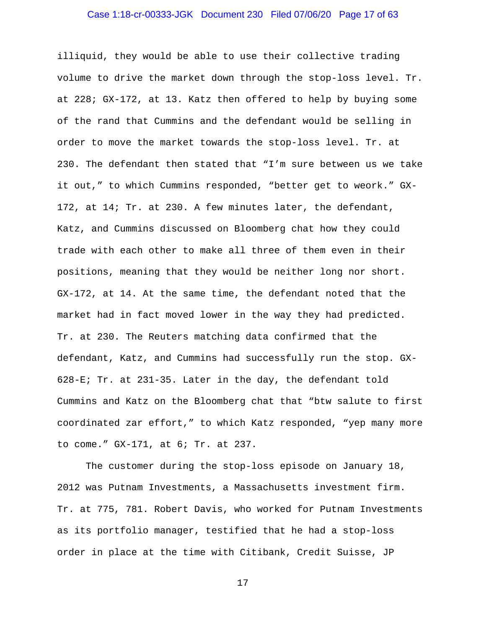### Case 1:18-cr-00333-JGK Document 230 Filed 07/06/20 Page 17 of 63

illiquid, they would be able to use their collective trading volume to drive the market down through the stop-loss level. Tr. at 228; GX-172, at 13. Katz then offered to help by buying some of the rand that Cummins and the defendant would be selling in order to move the market towards the stop-loss level. Tr. at 230. The defendant then stated that "I'm sure between us we take it out," to which Cummins responded, "better get to weork." GX-172, at 14; Tr. at 230. A few minutes later, the defendant, Katz, and Cummins discussed on Bloomberg chat how they could trade with each other to make all three of them even in their positions, meaning that they would be neither long nor short. GX-172, at 14. At the same time, the defendant noted that the market had in fact moved lower in the way they had predicted. Tr. at 230. The Reuters matching data confirmed that the defendant, Katz, and Cummins had successfully run the stop. GX-628-E; Tr. at 231-35. Later in the day, the defendant told Cummins and Katz on the Bloomberg chat that "btw salute to first coordinated zar effort," to which Katz responded, "yep many more to come." GX-171, at 6; Tr. at 237.

The customer during the stop-loss episode on January 18, 2012 was Putnam Investments, a Massachusetts investment firm. Tr. at 775, 781. Robert Davis, who worked for Putnam Investments as its portfolio manager, testified that he had a stop-loss order in place at the time with Citibank, Credit Suisse, JP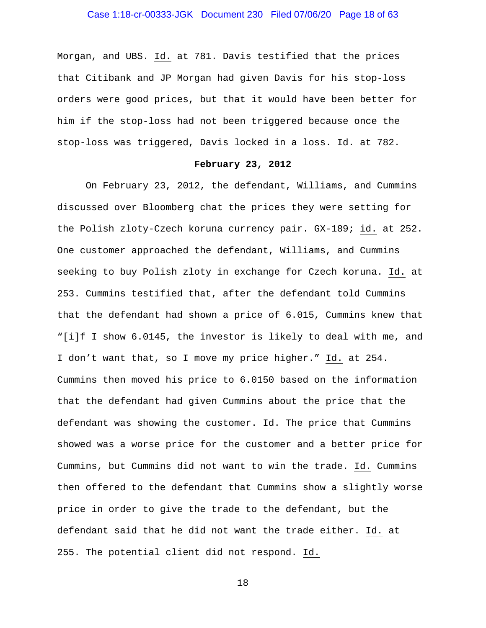# Case 1:18-cr-00333-JGK Document 230 Filed 07/06/20 Page 18 of 63

Morgan, and UBS. Id. at 781. Davis testified that the prices that Citibank and JP Morgan had given Davis for his stop-loss orders were good prices, but that it would have been better for him if the stop-loss had not been triggered because once the stop-loss was triggered, Davis locked in a loss. Id. at 782.

#### **February 23, 2012**

On February 23, 2012, the defendant, Williams, and Cummins discussed over Bloomberg chat the prices they were setting for the Polish zloty-Czech koruna currency pair. GX-189; id. at 252. One customer approached the defendant, Williams, and Cummins seeking to buy Polish zloty in exchange for Czech koruna. Id. at 253. Cummins testified that, after the defendant told Cummins that the defendant had shown a price of 6.015, Cummins knew that "[i]f I show 6.0145, the investor is likely to deal with me, and I don't want that, so I move my price higher." Id. at 254. Cummins then moved his price to 6.0150 based on the information that the defendant had given Cummins about the price that the defendant was showing the customer. Id. The price that Cummins showed was a worse price for the customer and a better price for Cummins, but Cummins did not want to win the trade. Id. Cummins then offered to the defendant that Cummins show a slightly worse price in order to give the trade to the defendant, but the defendant said that he did not want the trade either. Id. at 255. The potential client did not respond. Id.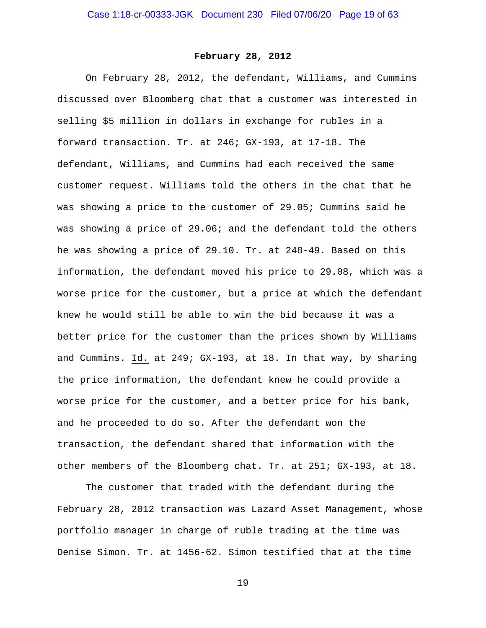# **February 28, 2012**

On February 28, 2012, the defendant, Williams, and Cummins discussed over Bloomberg chat that a customer was interested in selling \$5 million in dollars in exchange for rubles in a forward transaction. Tr. at 246; GX-193, at 17-18. The defendant, Williams, and Cummins had each received the same customer request. Williams told the others in the chat that he was showing a price to the customer of 29.05; Cummins said he was showing a price of 29.06; and the defendant told the others he was showing a price of 29.10. Tr. at 248-49. Based on this information, the defendant moved his price to 29.08, which was a worse price for the customer, but a price at which the defendant knew he would still be able to win the bid because it was a better price for the customer than the prices shown by Williams and Cummins. Id. at 249; GX-193, at 18. In that way, by sharing the price information, the defendant knew he could provide a worse price for the customer, and a better price for his bank, and he proceeded to do so. After the defendant won the transaction, the defendant shared that information with the other members of the Bloomberg chat. Tr. at 251; GX-193, at 18.

The customer that traded with the defendant during the February 28, 2012 transaction was Lazard Asset Management, whose portfolio manager in charge of ruble trading at the time was Denise Simon. Tr. at 1456-62. Simon testified that at the time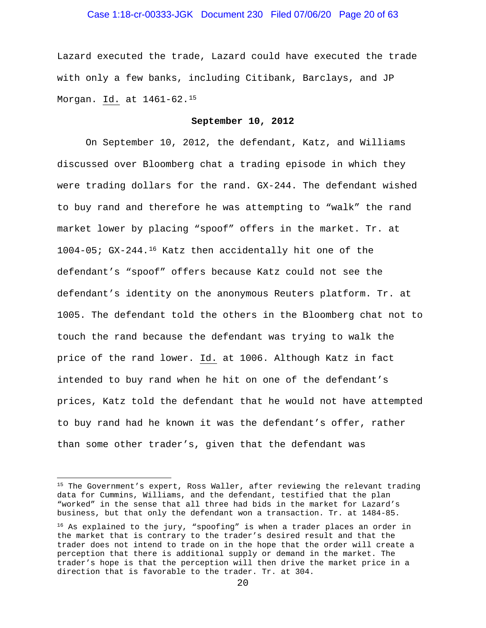# Case 1:18-cr-00333-JGK Document 230 Filed 07/06/20 Page 20 of 63

Lazard executed the trade, Lazard could have executed the trade with only a few banks, including Citibank, Barclays, and JP Morgan. Id. at 1461-62.15

#### **September 10, 2012**

On September 10, 2012, the defendant, Katz, and Williams discussed over Bloomberg chat a trading episode in which they were trading dollars for the rand. GX-244. The defendant wished to buy rand and therefore he was attempting to "walk" the rand market lower by placing "spoof" offers in the market. Tr. at 1004-05; GX-244.16 Katz then accidentally hit one of the defendant's "spoof" offers because Katz could not see the defendant's identity on the anonymous Reuters platform. Tr. at 1005. The defendant told the others in the Bloomberg chat not to touch the rand because the defendant was trying to walk the price of the rand lower. Id. at 1006. Although Katz in fact intended to buy rand when he hit on one of the defendant's prices, Katz told the defendant that he would not have attempted to buy rand had he known it was the defendant's offer, rather than some other trader's, given that the defendant was

<sup>&</sup>lt;sup>15</sup> The Government's expert, Ross Waller, after reviewing the relevant trading data for Cummins, Williams, and the defendant, testified that the plan "worked" in the sense that all three had bids in the market for Lazard's business, but that only the defendant won a transaction. Tr. at 1484-85.

<sup>&</sup>lt;sup>16</sup> As explained to the jury, "spoofing" is when a trader places an order in the market that is contrary to the trader's desired result and that the trader does not intend to trade on in the hope that the order will create a perception that there is additional supply or demand in the market. The trader's hope is that the perception will then drive the market price in a direction that is favorable to the trader. Tr. at 304.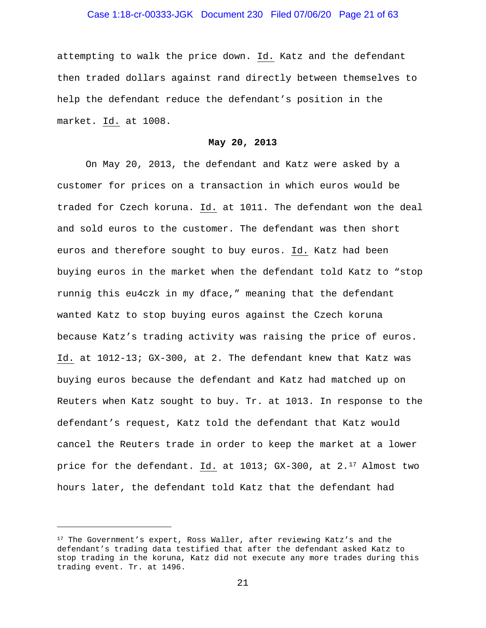# Case 1:18-cr-00333-JGK Document 230 Filed 07/06/20 Page 21 of 63

attempting to walk the price down. Id. Katz and the defendant then traded dollars against rand directly between themselves to help the defendant reduce the defendant's position in the market. Id. at 1008.

#### **May 20, 2013**

On May 20, 2013, the defendant and Katz were asked by a customer for prices on a transaction in which euros would be traded for Czech koruna. Id. at 1011. The defendant won the deal and sold euros to the customer. The defendant was then short euros and therefore sought to buy euros. Id. Katz had been buying euros in the market when the defendant told Katz to "stop runnig this eu4czk in my dface," meaning that the defendant wanted Katz to stop buying euros against the Czech koruna because Katz's trading activity was raising the price of euros. Id. at 1012-13; GX-300, at 2. The defendant knew that Katz was buying euros because the defendant and Katz had matched up on Reuters when Katz sought to buy. Tr. at 1013. In response to the defendant's request, Katz told the defendant that Katz would cancel the Reuters trade in order to keep the market at a lower price for the defendant. Id. at 1013; GX-300, at 2.<sup>17</sup> Almost two hours later, the defendant told Katz that the defendant had

<sup>&</sup>lt;sup>17</sup> The Government's expert, Ross Waller, after reviewing Katz's and the defendant's trading data testified that after the defendant asked Katz to stop trading in the koruna, Katz did not execute any more trades during this trading event. Tr. at 1496.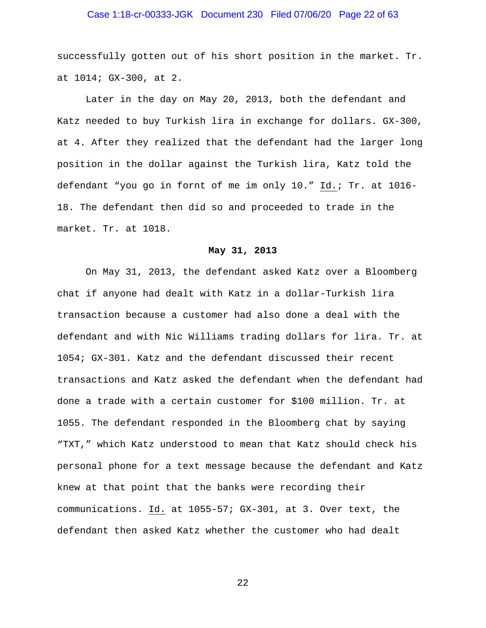# Case 1:18-cr-00333-JGK Document 230 Filed 07/06/20 Page 22 of 63

successfully gotten out of his short position in the market. Tr. at 1014; GX-300, at 2.

Later in the day on May 20, 2013, both the defendant and Katz needed to buy Turkish lira in exchange for dollars. GX-300, at 4. After they realized that the defendant had the larger long position in the dollar against the Turkish lira, Katz told the defendant "you go in fornt of me im only 10." Id.; Tr. at 1016- 18. The defendant then did so and proceeded to trade in the market. Tr. at 1018.

# **May 31, 2013**

On May 31, 2013, the defendant asked Katz over a Bloomberg chat if anyone had dealt with Katz in a dollar-Turkish lira transaction because a customer had also done a deal with the defendant and with Nic Williams trading dollars for lira. Tr. at 1054; GX-301. Katz and the defendant discussed their recent transactions and Katz asked the defendant when the defendant had done a trade with a certain customer for \$100 million. Tr. at 1055. The defendant responded in the Bloomberg chat by saying "TXT," which Katz understood to mean that Katz should check his personal phone for a text message because the defendant and Katz knew at that point that the banks were recording their communications. Id. at 1055-57; GX-301, at 3. Over text, the defendant then asked Katz whether the customer who had dealt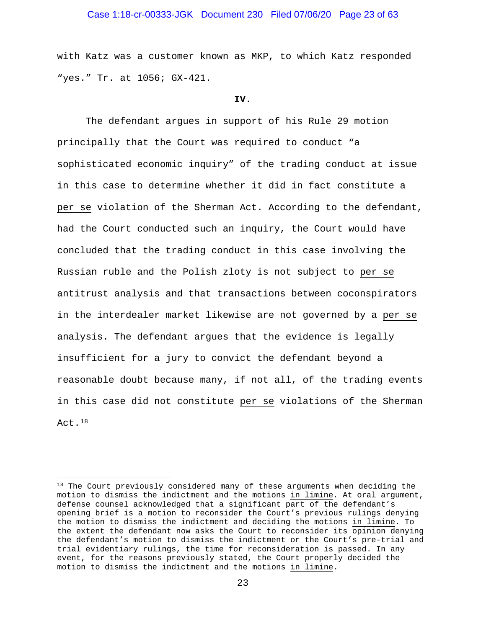# Case 1:18-cr-00333-JGK Document 230 Filed 07/06/20 Page 23 of 63

with Katz was a customer known as MKP, to which Katz responded "yes." Tr. at 1056; GX-421.

#### **IV.**

The defendant argues in support of his Rule 29 motion principally that the Court was required to conduct "a sophisticated economic inquiry" of the trading conduct at issue in this case to determine whether it did in fact constitute a per se violation of the Sherman Act. According to the defendant, had the Court conducted such an inquiry, the Court would have concluded that the trading conduct in this case involving the Russian ruble and the Polish zloty is not subject to per se antitrust analysis and that transactions between coconspirators in the interdealer market likewise are not governed by a per se analysis. The defendant argues that the evidence is legally insufficient for a jury to convict the defendant beyond a reasonable doubt because many, if not all, of the trading events in this case did not constitute per se violations of the Sherman Act.18

<sup>&</sup>lt;sup>18</sup> The Court previously considered many of these arguments when deciding the motion to dismiss the indictment and the motions in limine. At oral argument, defense counsel acknowledged that a significant part of the defendant's opening brief is a motion to reconsider the Court's previous rulings denying the motion to dismiss the indictment and deciding the motions in limine. To the extent the defendant now asks the Court to reconsider its opinion denying the defendant's motion to dismiss the indictment or the Court's pre-trial and trial evidentiary rulings, the time for reconsideration is passed. In any event, for the reasons previously stated, the Court properly decided the motion to dismiss the indictment and the motions in limine.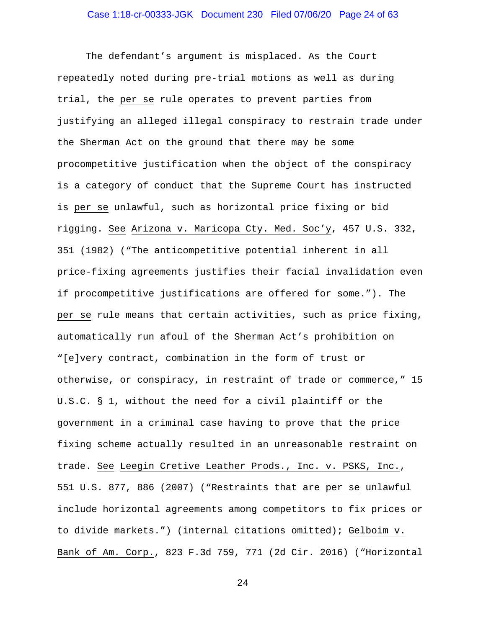The defendant's argument is misplaced. As the Court repeatedly noted during pre-trial motions as well as during trial, the per se rule operates to prevent parties from justifying an alleged illegal conspiracy to restrain trade under the Sherman Act on the ground that there may be some procompetitive justification when the object of the conspiracy is a category of conduct that the Supreme Court has instructed is per se unlawful, such as horizontal price fixing or bid rigging. See Arizona v. Maricopa Cty. Med. Soc'y, 457 U.S. 332, 351 (1982) ("The anticompetitive potential inherent in all price-fixing agreements justifies their facial invalidation even if procompetitive justifications are offered for some."). The per se rule means that certain activities, such as price fixing, automatically run afoul of the Sherman Act's prohibition on "[e]very contract, combination in the form of trust or otherwise, or conspiracy, in restraint of trade or commerce," 15 U.S.C. § 1, without the need for a civil plaintiff or the government in a criminal case having to prove that the price fixing scheme actually resulted in an unreasonable restraint on trade. See Leegin Cretive Leather Prods., Inc. v. PSKS, Inc., 551 U.S. 877, 886 (2007) ("Restraints that are per se unlawful include horizontal agreements among competitors to fix prices or to divide markets.") (internal citations omitted); Gelboim v. Bank of Am. Corp., 823 F.3d 759, 771 (2d Cir. 2016) ("Horizontal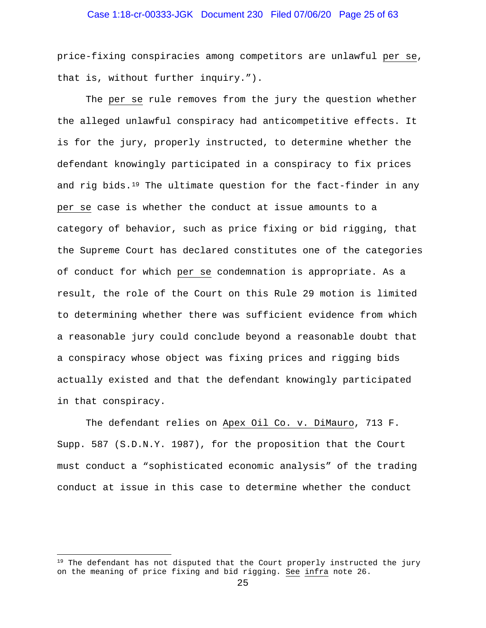# Case 1:18-cr-00333-JGK Document 230 Filed 07/06/20 Page 25 of 63

price-fixing conspiracies among competitors are unlawful per se, that is, without further inquiry.").

The per se rule removes from the jury the question whether the alleged unlawful conspiracy had anticompetitive effects. It is for the jury, properly instructed, to determine whether the defendant knowingly participated in a conspiracy to fix prices and rig bids. $19$  The ultimate question for the fact-finder in any per se case is whether the conduct at issue amounts to a category of behavior, such as price fixing or bid rigging, that the Supreme Court has declared constitutes one of the categories of conduct for which per se condemnation is appropriate. As a result, the role of the Court on this Rule 29 motion is limited to determining whether there was sufficient evidence from which a reasonable jury could conclude beyond a reasonable doubt that a conspiracy whose object was fixing prices and rigging bids actually existed and that the defendant knowingly participated in that conspiracy.

The defendant relies on Apex Oil Co. v. DiMauro, 713 F. Supp. 587 (S.D.N.Y. 1987), for the proposition that the Court must conduct a "sophisticated economic analysis" of the trading conduct at issue in this case to determine whether the conduct

 $19$  The defendant has not disputed that the Court properly instructed the jury on the meaning of price fixing and bid rigging. See infra note 26.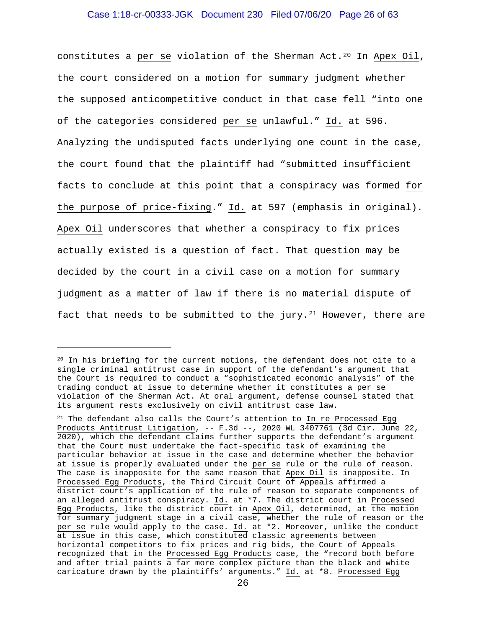## Case 1:18-cr-00333-JGK Document 230 Filed 07/06/20 Page 26 of 63

constitutes a per se violation of the Sherman Act.<sup>20</sup> In Apex Oil, the court considered on a motion for summary judgment whether the supposed anticompetitive conduct in that case fell "into one of the categories considered per se unlawful." Id. at 596. Analyzing the undisputed facts underlying one count in the case, the court found that the plaintiff had "submitted insufficient facts to conclude at this point that a conspiracy was formed for the purpose of price-fixing." Id. at 597 (emphasis in original). Apex Oil underscores that whether a conspiracy to fix prices actually existed is a question of fact. That question may be decided by the court in a civil case on a motion for summary judgment as a matter of law if there is no material dispute of fact that needs to be submitted to the jury.<sup>21</sup> However, there are

 $20$  In his briefing for the current motions, the defendant does not cite to a single criminal antitrust case in support of the defendant's argument that the Court is required to conduct a "sophisticated economic analysis" of the trading conduct at issue to determine whether it constitutes a per se violation of the Sherman Act. At oral argument, defense counsel stated that its argument rests exclusively on civil antitrust case law.

 $21$  The defendant also calls the Court's attention to In re Processed Egg Products Antitrust Litigation, -- F.3d --, 2020 WL 3407761 (3d Cir. June 22, 2020), which the defendant claims further supports the defendant's argument that the Court must undertake the fact-specific task of examining the particular behavior at issue in the case and determine whether the behavior at issue is properly evaluated under the per se rule or the rule of reason. The case is inapposite for the same reason that Apex Oil is inapposite. In Processed Egg Products, the Third Circuit Court of Appeals affirmed a district court's application of the rule of reason to separate components of an alleged antitrust conspiracy. Id. at \*7. The district court in Processed Egg Products, like the district court in Apex Oil, determined, at the motion for summary judgment stage in a civil case, whether the rule of reason or the per se rule would apply to the case. Id. at \*2. Moreover, unlike the conduct at issue in this case, which constituted classic agreements between horizontal competitors to fix prices and rig bids, the Court of Appeals recognized that in the Processed Egg Products case, the "record both before and after trial paints a far more complex picture than the black and white caricature drawn by the plaintiffs' arguments." Id. at \*8. Processed Egg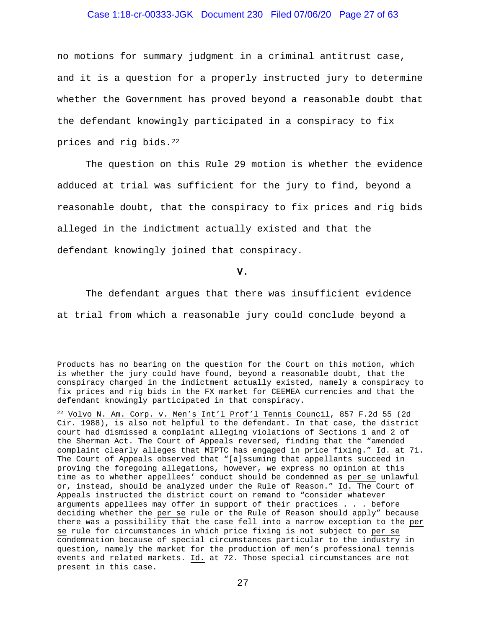### Case 1:18-cr-00333-JGK Document 230 Filed 07/06/20 Page 27 of 63

no motions for summary judgment in a criminal antitrust case, and it is a question for a properly instructed jury to determine whether the Government has proved beyond a reasonable doubt that the defendant knowingly participated in a conspiracy to fix prices and rig bids.22

The question on this Rule 29 motion is whether the evidence adduced at trial was sufficient for the jury to find, beyond a reasonable doubt, that the conspiracy to fix prices and rig bids alleged in the indictment actually existed and that the defendant knowingly joined that conspiracy.

**V.**

The defendant argues that there was insufficient evidence at trial from which a reasonable jury could conclude beyond a

Products has no bearing on the question for the Court on this motion, which is whether the jury could have found, beyond a reasonable doubt, that the conspiracy charged in the indictment actually existed, namely a conspiracy to fix prices and rig bids in the FX market for CEEMEA currencies and that the defendant knowingly participated in that conspiracy.

<sup>22</sup> Volvo N. Am. Corp. v. Men's Int'l Prof'l Tennis Council, 857 F.2d 55 (2d Cir. 1988), is also not helpful to the defendant. In that case, the district court had dismissed a complaint alleging violations of Sections 1 and 2 of the Sherman Act. The Court of Appeals reversed, finding that the "amended complaint clearly alleges that MIPTC has engaged in price fixing." Id. at 71. The Court of Appeals observed that "[a]ssuming that appellants succeed in proving the foregoing allegations, however, we express no opinion at this time as to whether appellees' conduct should be condemned as per se unlawful or, instead, should be analyzed under the Rule of Reason." Id. The Court of Appeals instructed the district court on remand to "consider whatever arguments appellees may offer in support of their practices . . . before deciding whether the per se rule or the Rule of Reason should apply" because there was a possibility that the case fell into a narrow exception to the per se rule for circumstances in which price fixing is not subject to per se condemnation because of special circumstances particular to the industry in question, namely the market for the production of men's professional tennis events and related markets. Id. at 72. Those special circumstances are not present in this case.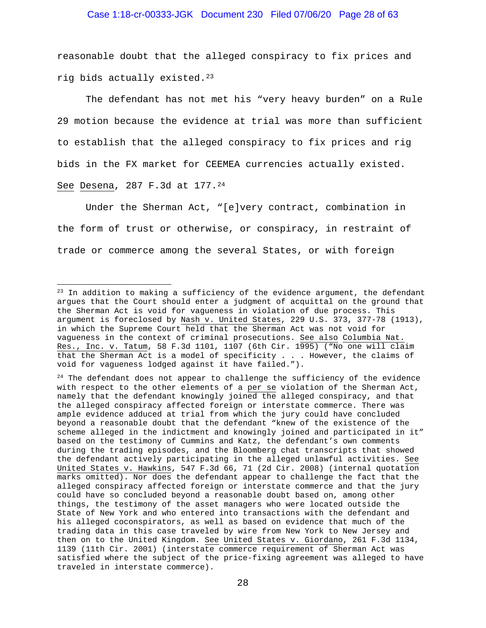# Case 1:18-cr-00333-JGK Document 230 Filed 07/06/20 Page 28 of 63

reasonable doubt that the alleged conspiracy to fix prices and rig bids actually existed.23

The defendant has not met his "very heavy burden" on a Rule 29 motion because the evidence at trial was more than sufficient to establish that the alleged conspiracy to fix prices and rig bids in the FX market for CEEMEA currencies actually existed. See Desena, 287 F.3d at 177.24

Under the Sherman Act, "[e]very contract, combination in the form of trust or otherwise, or conspiracy, in restraint of trade or commerce among the several States, or with foreign

<sup>&</sup>lt;sup>23</sup> In addition to making a sufficiency of the evidence argument, the defendant argues that the Court should enter a judgment of acquittal on the ground that the Sherman Act is void for vagueness in violation of due process. This argument is foreclosed by Nash v. United States, 229 U.S. 373, 377-78 (1913), in which the Supreme Court held that the Sherman Act was not void for vagueness in the context of criminal prosecutions. See also Columbia Nat. Res., Inc. v. Tatum, 58 F.3d 1101, 1107 (6th Cir. 1995) ("No one will claim that the Sherman Act is a model of specificity . . . However, the claims of void for vagueness lodged against it have failed.").

 $24$  The defendant does not appear to challenge the sufficiency of the evidence with respect to the other elements of a per se violation of the Sherman Act, namely that the defendant knowingly joined the alleged conspiracy, and that the alleged conspiracy affected foreign or interstate commerce. There was ample evidence adduced at trial from which the jury could have concluded beyond a reasonable doubt that the defendant "knew of the existence of the scheme alleged in the indictment and knowingly joined and participated in it" based on the testimony of Cummins and Katz, the defendant's own comments during the trading episodes, and the Bloomberg chat transcripts that showed the defendant actively participating in the alleged unlawful activities. See United States v. Hawkins, 547 F.3d 66, 71 (2d Cir. 2008) (internal quotation marks omitted). Nor does the defendant appear to challenge the fact that the alleged conspiracy affected foreign or interstate commerce and that the jury could have so concluded beyond a reasonable doubt based on, among other things, the testimony of the asset managers who were located outside the State of New York and who entered into transactions with the defendant and his alleged coconspirators, as well as based on evidence that much of the trading data in this case traveled by wire from New York to New Jersey and then on to the United Kingdom. See United States v. Giordano, 261 F.3d 1134, 1139 (11th Cir. 2001) (interstate commerce requirement of Sherman Act was satisfied where the subject of the price-fixing agreement was alleged to have traveled in interstate commerce).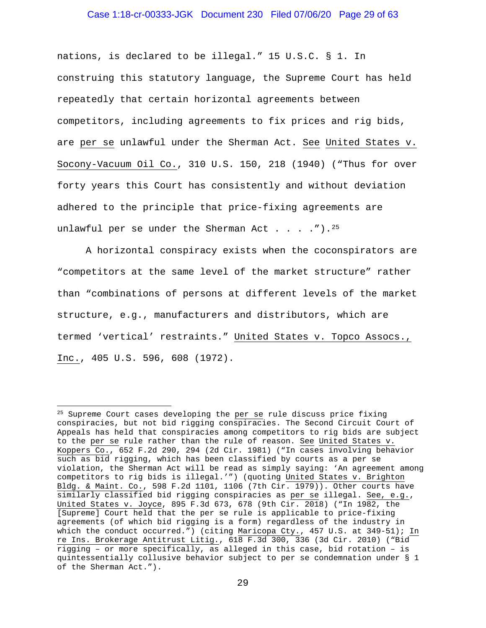### Case 1:18-cr-00333-JGK Document 230 Filed 07/06/20 Page 29 of 63

nations, is declared to be illegal." 15 U.S.C. § 1. In construing this statutory language, the Supreme Court has held repeatedly that certain horizontal agreements between competitors, including agreements to fix prices and rig bids, are per se unlawful under the Sherman Act. See United States v. Socony-Vacuum Oil Co., 310 U.S. 150, 218 (1940) ("Thus for over forty years this Court has consistently and without deviation adhered to the principle that price-fixing agreements are unlawful per se under the Sherman Act . . . . ").  $25$ 

A horizontal conspiracy exists when the coconspirators are "competitors at the same level of the market structure" rather than "combinations of persons at different levels of the market structure, e.g., manufacturers and distributors, which are termed 'vertical' restraints." United States v. Topco Assocs., Inc., 405 U.S. 596, 608 (1972).

<sup>&</sup>lt;sup>25</sup> Supreme Court cases developing the per se rule discuss price fixing conspiracies, but not bid rigging conspiracies. The Second Circuit Court of Appeals has held that conspiracies among competitors to rig bids are subject to the per se rule rather than the rule of reason. See United States v. Koppers Co., 652 F.2d 290, 294 (2d Cir. 1981) ("In cases involving behavior such as bid rigging, which has been classified by courts as a per se violation, the Sherman Act will be read as simply saying: 'An agreement among competitors to rig bids is illegal.'") (quoting United States v. Brighton Bldg. & Maint. Co., 598 F.2d 1101, 1106 (7th Cir. 1979)). Other courts have similarly classified bid rigging conspiracies as per se illegal. See, e.g., United States v. Joyce, 895 F.3d 673, 678 (9th Cir. 2018) ("In 1982, the [Supreme] Court held that the per se rule is applicable to price-fixing agreements (of which bid rigging is a form) regardless of the industry in which the conduct occurred.") (citing Maricopa Cty., 457 U.S. at 349-51); In re Ins. Brokerage Antitrust Litig., 618 F.3d 300, 336 (3d Cir. 2010) ("Bid rigging – or more specifically, as alleged in this case, bid rotation – is quintessentially collusive behavior subject to per se condemnation under § 1 of the Sherman Act.").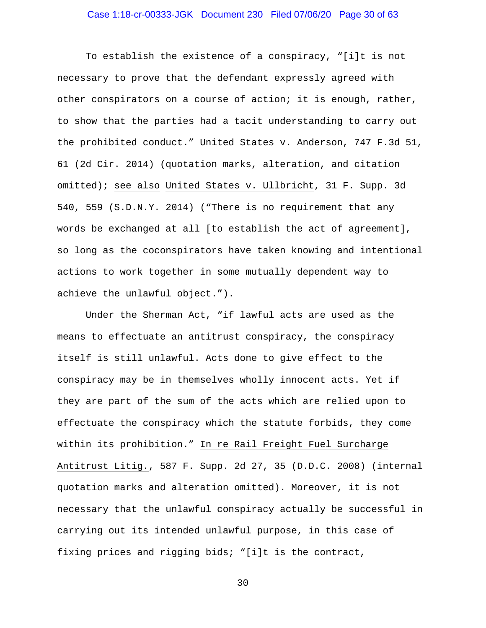### Case 1:18-cr-00333-JGK Document 230 Filed 07/06/20 Page 30 of 63

To establish the existence of a conspiracy, "[i]t is not necessary to prove that the defendant expressly agreed with other conspirators on a course of action; it is enough, rather, to show that the parties had a tacit understanding to carry out the prohibited conduct." United States v. Anderson, 747 F.3d 51, 61 (2d Cir. 2014) (quotation marks, alteration, and citation omitted); see also United States v. Ullbricht, 31 F. Supp. 3d 540, 559 (S.D.N.Y. 2014) ("There is no requirement that any words be exchanged at all [to establish the act of agreement], so long as the coconspirators have taken knowing and intentional actions to work together in some mutually dependent way to achieve the unlawful object.").

Under the Sherman Act, "if lawful acts are used as the means to effectuate an antitrust conspiracy, the conspiracy itself is still unlawful. Acts done to give effect to the conspiracy may be in themselves wholly innocent acts. Yet if they are part of the sum of the acts which are relied upon to effectuate the conspiracy which the statute forbids, they come within its prohibition." In re Rail Freight Fuel Surcharge Antitrust Litig., 587 F. Supp. 2d 27, 35 (D.D.C. 2008) (internal quotation marks and alteration omitted). Moreover, it is not necessary that the unlawful conspiracy actually be successful in carrying out its intended unlawful purpose, in this case of fixing prices and rigging bids; "[i]t is the contract,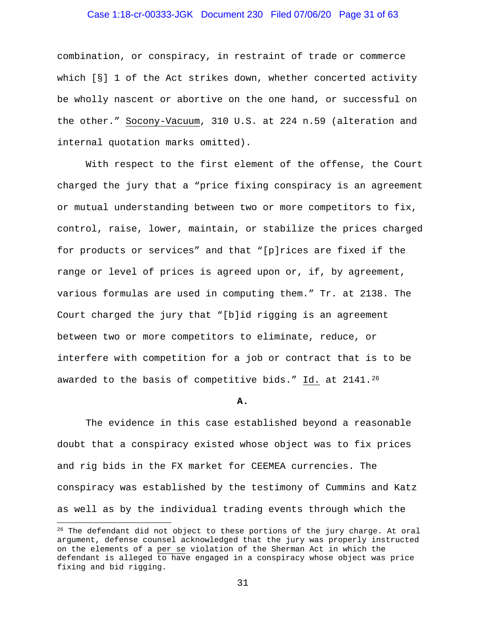# Case 1:18-cr-00333-JGK Document 230 Filed 07/06/20 Page 31 of 63

combination, or conspiracy, in restraint of trade or commerce which [§] 1 of the Act strikes down, whether concerted activity be wholly nascent or abortive on the one hand, or successful on the other." Socony-Vacuum, 310 U.S. at 224 n.59 (alteration and internal quotation marks omitted).

With respect to the first element of the offense, the Court charged the jury that a "price fixing conspiracy is an agreement or mutual understanding between two or more competitors to fix, control, raise, lower, maintain, or stabilize the prices charged for products or services" and that "[p]rices are fixed if the range or level of prices is agreed upon or, if, by agreement, various formulas are used in computing them." Tr. at 2138. The Court charged the jury that "[b]id rigging is an agreement between two or more competitors to eliminate, reduce, or interfere with competition for a job or contract that is to be awarded to the basis of competitive bids." Id. at 2141.26

#### **A.**

The evidence in this case established beyond a reasonable doubt that a conspiracy existed whose object was to fix prices and rig bids in the FX market for CEEMEA currencies. The conspiracy was established by the testimony of Cummins and Katz as well as by the individual trading events through which the

<sup>&</sup>lt;sup>26</sup> The defendant did not object to these portions of the jury charge. At oral argument, defense counsel acknowledged that the jury was properly instructed on the elements of a per se violation of the Sherman Act in which the defendant is alleged  $\overline{\text{to have engaged in a complexity whose object was price}}$ fixing and bid rigging.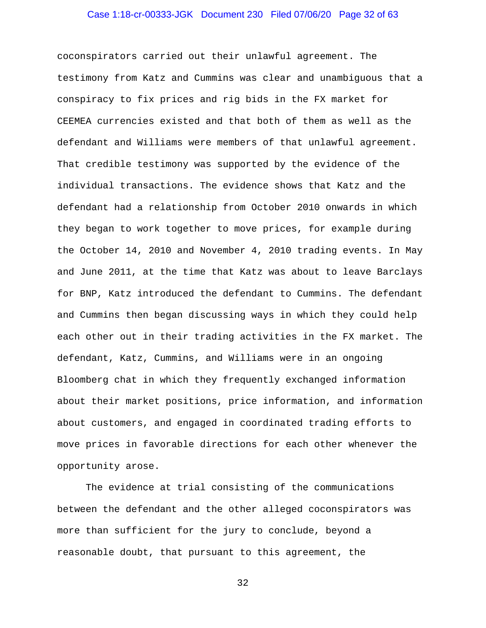#### Case 1:18-cr-00333-JGK Document 230 Filed 07/06/20 Page 32 of 63

coconspirators carried out their unlawful agreement. The testimony from Katz and Cummins was clear and unambiguous that a conspiracy to fix prices and rig bids in the FX market for CEEMEA currencies existed and that both of them as well as the defendant and Williams were members of that unlawful agreement. That credible testimony was supported by the evidence of the individual transactions. The evidence shows that Katz and the defendant had a relationship from October 2010 onwards in which they began to work together to move prices, for example during the October 14, 2010 and November 4, 2010 trading events. In May and June 2011, at the time that Katz was about to leave Barclays for BNP, Katz introduced the defendant to Cummins. The defendant and Cummins then began discussing ways in which they could help each other out in their trading activities in the FX market. The defendant, Katz, Cummins, and Williams were in an ongoing Bloomberg chat in which they frequently exchanged information about their market positions, price information, and information about customers, and engaged in coordinated trading efforts to move prices in favorable directions for each other whenever the opportunity arose.

The evidence at trial consisting of the communications between the defendant and the other alleged coconspirators was more than sufficient for the jury to conclude, beyond a reasonable doubt, that pursuant to this agreement, the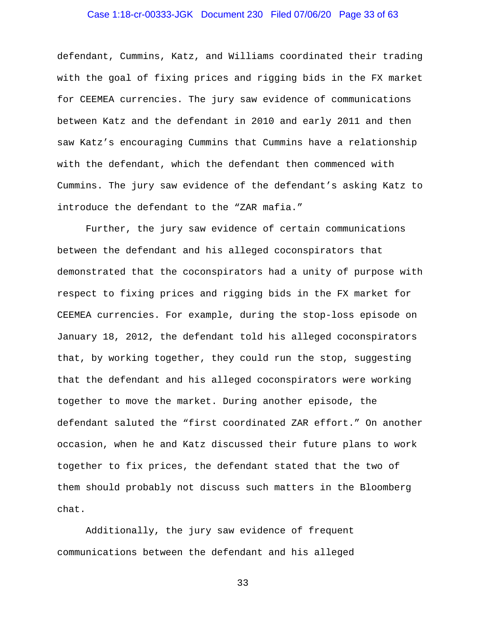# Case 1:18-cr-00333-JGK Document 230 Filed 07/06/20 Page 33 of 63

defendant, Cummins, Katz, and Williams coordinated their trading with the goal of fixing prices and rigging bids in the FX market for CEEMEA currencies. The jury saw evidence of communications between Katz and the defendant in 2010 and early 2011 and then saw Katz's encouraging Cummins that Cummins have a relationship with the defendant, which the defendant then commenced with Cummins. The jury saw evidence of the defendant's asking Katz to introduce the defendant to the "ZAR mafia."

Further, the jury saw evidence of certain communications between the defendant and his alleged coconspirators that demonstrated that the coconspirators had a unity of purpose with respect to fixing prices and rigging bids in the FX market for CEEMEA currencies. For example, during the stop-loss episode on January 18, 2012, the defendant told his alleged coconspirators that, by working together, they could run the stop, suggesting that the defendant and his alleged coconspirators were working together to move the market. During another episode, the defendant saluted the "first coordinated ZAR effort." On another occasion, when he and Katz discussed their future plans to work together to fix prices, the defendant stated that the two of them should probably not discuss such matters in the Bloomberg chat.

Additionally, the jury saw evidence of frequent communications between the defendant and his alleged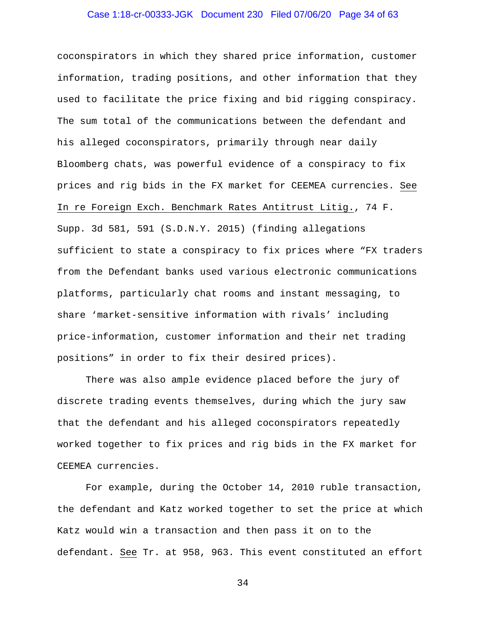### Case 1:18-cr-00333-JGK Document 230 Filed 07/06/20 Page 34 of 63

coconspirators in which they shared price information, customer information, trading positions, and other information that they used to facilitate the price fixing and bid rigging conspiracy. The sum total of the communications between the defendant and his alleged coconspirators, primarily through near daily Bloomberg chats, was powerful evidence of a conspiracy to fix prices and rig bids in the FX market for CEEMEA currencies. See In re Foreign Exch. Benchmark Rates Antitrust Litig., 74 F. Supp. 3d 581, 591 (S.D.N.Y. 2015) (finding allegations sufficient to state a conspiracy to fix prices where "FX traders from the Defendant banks used various electronic communications platforms, particularly chat rooms and instant messaging, to share 'market-sensitive information with rivals' including price-information, customer information and their net trading positions" in order to fix their desired prices).

There was also ample evidence placed before the jury of discrete trading events themselves, during which the jury saw that the defendant and his alleged coconspirators repeatedly worked together to fix prices and rig bids in the FX market for CEEMEA currencies.

For example, during the October 14, 2010 ruble transaction, the defendant and Katz worked together to set the price at which Katz would win a transaction and then pass it on to the defendant. See Tr. at 958, 963. This event constituted an effort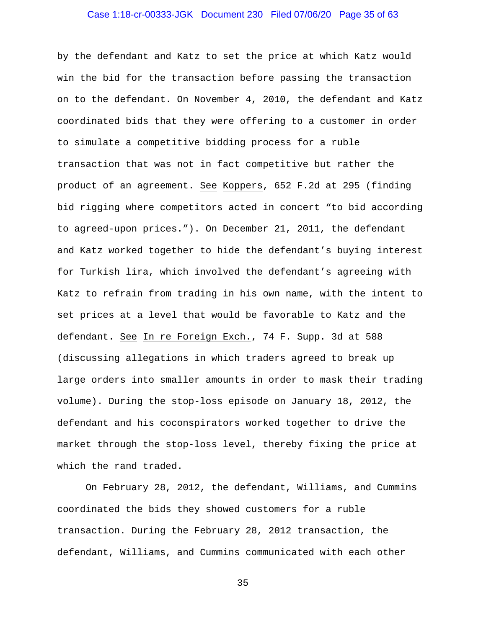#### Case 1:18-cr-00333-JGK Document 230 Filed 07/06/20 Page 35 of 63

by the defendant and Katz to set the price at which Katz would win the bid for the transaction before passing the transaction on to the defendant. On November 4, 2010, the defendant and Katz coordinated bids that they were offering to a customer in order to simulate a competitive bidding process for a ruble transaction that was not in fact competitive but rather the product of an agreement. See Koppers, 652 F.2d at 295 (finding bid rigging where competitors acted in concert "to bid according to agreed-upon prices."). On December 21, 2011, the defendant and Katz worked together to hide the defendant's buying interest for Turkish lira, which involved the defendant's agreeing with Katz to refrain from trading in his own name, with the intent to set prices at a level that would be favorable to Katz and the defendant. See In re Foreign Exch., 74 F. Supp. 3d at 588 (discussing allegations in which traders agreed to break up large orders into smaller amounts in order to mask their trading volume). During the stop-loss episode on January 18, 2012, the defendant and his coconspirators worked together to drive the market through the stop-loss level, thereby fixing the price at which the rand traded.

On February 28, 2012, the defendant, Williams, and Cummins coordinated the bids they showed customers for a ruble transaction. During the February 28, 2012 transaction, the defendant, Williams, and Cummins communicated with each other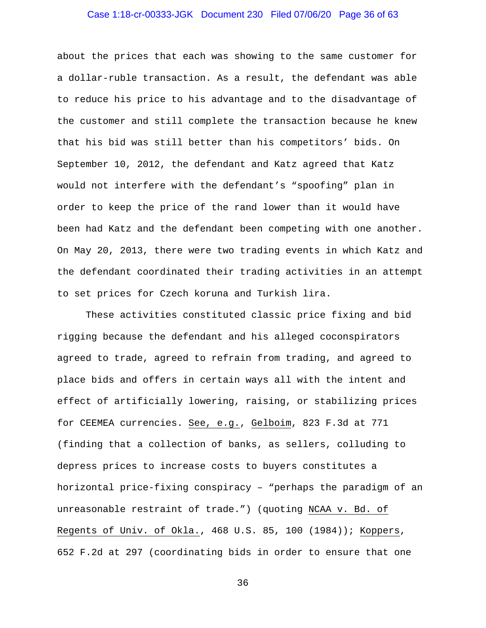### Case 1:18-cr-00333-JGK Document 230 Filed 07/06/20 Page 36 of 63

about the prices that each was showing to the same customer for a dollar-ruble transaction. As a result, the defendant was able to reduce his price to his advantage and to the disadvantage of the customer and still complete the transaction because he knew that his bid was still better than his competitors' bids. On September 10, 2012, the defendant and Katz agreed that Katz would not interfere with the defendant's "spoofing" plan in order to keep the price of the rand lower than it would have been had Katz and the defendant been competing with one another. On May 20, 2013, there were two trading events in which Katz and the defendant coordinated their trading activities in an attempt to set prices for Czech koruna and Turkish lira.

These activities constituted classic price fixing and bid rigging because the defendant and his alleged coconspirators agreed to trade, agreed to refrain from trading, and agreed to place bids and offers in certain ways all with the intent and effect of artificially lowering, raising, or stabilizing prices for CEEMEA currencies. See, e.g., Gelboim, 823 F.3d at 771 (finding that a collection of banks, as sellers, colluding to depress prices to increase costs to buyers constitutes a horizontal price-fixing conspiracy – "perhaps the paradigm of an unreasonable restraint of trade.") (quoting NCAA v. Bd. of Regents of Univ. of Okla., 468 U.S. 85, 100 (1984)); Koppers, 652 F.2d at 297 (coordinating bids in order to ensure that one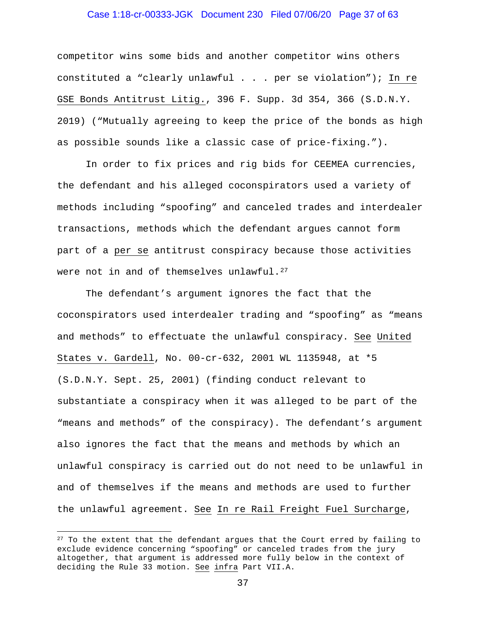# Case 1:18-cr-00333-JGK Document 230 Filed 07/06/20 Page 37 of 63

competitor wins some bids and another competitor wins others constituted a "clearly unlawful . . . per se violation"); In re GSE Bonds Antitrust Litig., 396 F. Supp. 3d 354, 366 (S.D.N.Y. 2019) ("Mutually agreeing to keep the price of the bonds as high as possible sounds like a classic case of price-fixing.").

In order to fix prices and rig bids for CEEMEA currencies, the defendant and his alleged coconspirators used a variety of methods including "spoofing" and canceled trades and interdealer transactions, methods which the defendant argues cannot form part of a per se antitrust conspiracy because those activities were not in and of themselves unlawful.<sup>27</sup>

The defendant's argument ignores the fact that the coconspirators used interdealer trading and "spoofing" as "means and methods" to effectuate the unlawful conspiracy. See United States v. Gardell, No. 00-cr-632, 2001 WL 1135948, at \*5 (S.D.N.Y. Sept. 25, 2001) (finding conduct relevant to substantiate a conspiracy when it was alleged to be part of the "means and methods" of the conspiracy). The defendant's argument also ignores the fact that the means and methods by which an unlawful conspiracy is carried out do not need to be unlawful in and of themselves if the means and methods are used to further the unlawful agreement. See In re Rail Freight Fuel Surcharge,

 $27$  To the extent that the defendant argues that the Court erred by failing to exclude evidence concerning "spoofing" or canceled trades from the jury altogether, that argument is addressed more fully below in the context of deciding the Rule 33 motion. See infra Part VII.A.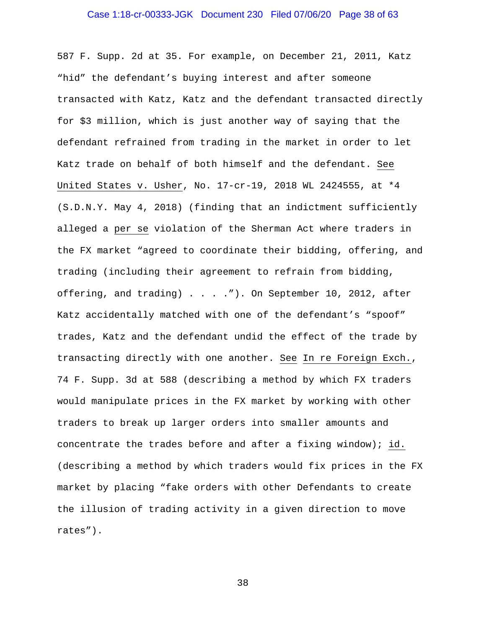### Case 1:18-cr-00333-JGK Document 230 Filed 07/06/20 Page 38 of 63

587 F. Supp. 2d at 35. For example, on December 21, 2011, Katz "hid" the defendant's buying interest and after someone transacted with Katz, Katz and the defendant transacted directly for \$3 million, which is just another way of saying that the defendant refrained from trading in the market in order to let Katz trade on behalf of both himself and the defendant. See United States v. Usher, No. 17-cr-19, 2018 WL 2424555, at \*4 (S.D.N.Y. May 4, 2018) (finding that an indictment sufficiently alleged a per se violation of the Sherman Act where traders in the FX market "agreed to coordinate their bidding, offering, and trading (including their agreement to refrain from bidding, offering, and trading) . . . . "). On September 10, 2012, after Katz accidentally matched with one of the defendant's "spoof" trades, Katz and the defendant undid the effect of the trade by transacting directly with one another. See In re Foreign Exch., 74 F. Supp. 3d at 588 (describing a method by which FX traders would manipulate prices in the FX market by working with other traders to break up larger orders into smaller amounts and concentrate the trades before and after a fixing window); id. (describing a method by which traders would fix prices in the FX market by placing "fake orders with other Defendants to create the illusion of trading activity in a given direction to move rates").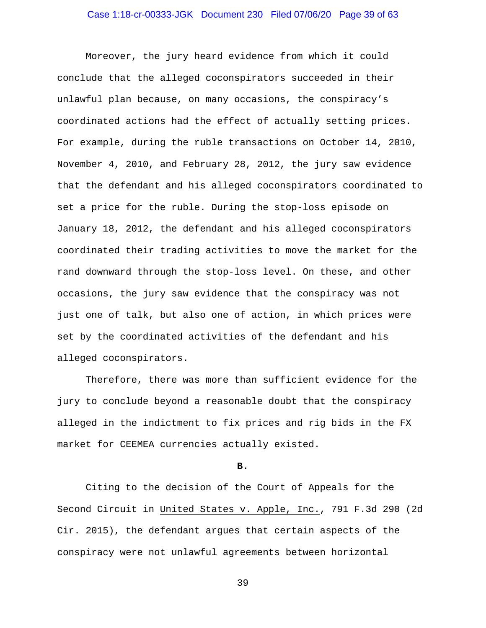Moreover, the jury heard evidence from which it could conclude that the alleged coconspirators succeeded in their unlawful plan because, on many occasions, the conspiracy's coordinated actions had the effect of actually setting prices. For example, during the ruble transactions on October 14, 2010, November 4, 2010, and February 28, 2012, the jury saw evidence that the defendant and his alleged coconspirators coordinated to set a price for the ruble. During the stop-loss episode on January 18, 2012, the defendant and his alleged coconspirators coordinated their trading activities to move the market for the rand downward through the stop-loss level. On these, and other occasions, the jury saw evidence that the conspiracy was not just one of talk, but also one of action, in which prices were set by the coordinated activities of the defendant and his alleged coconspirators.

Therefore, there was more than sufficient evidence for the jury to conclude beyond a reasonable doubt that the conspiracy alleged in the indictment to fix prices and rig bids in the FX market for CEEMEA currencies actually existed.

**B.**

Citing to the decision of the Court of Appeals for the Second Circuit in United States v. Apple, Inc., 791 F.3d 290 (2d Cir. 2015), the defendant argues that certain aspects of the conspiracy were not unlawful agreements between horizontal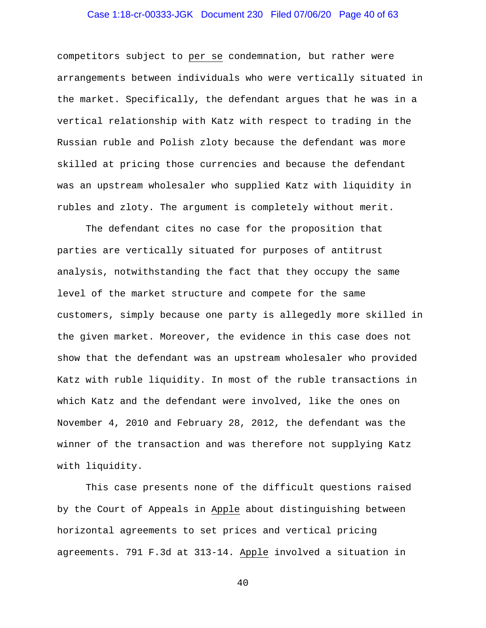# Case 1:18-cr-00333-JGK Document 230 Filed 07/06/20 Page 40 of 63

competitors subject to per se condemnation, but rather were arrangements between individuals who were vertically situated in the market. Specifically, the defendant argues that he was in a vertical relationship with Katz with respect to trading in the Russian ruble and Polish zloty because the defendant was more skilled at pricing those currencies and because the defendant was an upstream wholesaler who supplied Katz with liquidity in rubles and zloty. The argument is completely without merit.

The defendant cites no case for the proposition that parties are vertically situated for purposes of antitrust analysis, notwithstanding the fact that they occupy the same level of the market structure and compete for the same customers, simply because one party is allegedly more skilled in the given market. Moreover, the evidence in this case does not show that the defendant was an upstream wholesaler who provided Katz with ruble liquidity. In most of the ruble transactions in which Katz and the defendant were involved, like the ones on November 4, 2010 and February 28, 2012, the defendant was the winner of the transaction and was therefore not supplying Katz with liquidity.

This case presents none of the difficult questions raised by the Court of Appeals in Apple about distinguishing between horizontal agreements to set prices and vertical pricing agreements. 791 F.3d at 313-14. Apple involved a situation in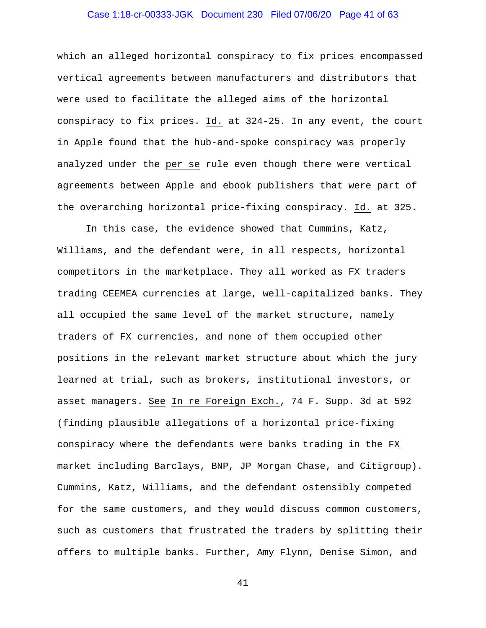# Case 1:18-cr-00333-JGK Document 230 Filed 07/06/20 Page 41 of 63

which an alleged horizontal conspiracy to fix prices encompassed vertical agreements between manufacturers and distributors that were used to facilitate the alleged aims of the horizontal conspiracy to fix prices. Id. at 324-25. In any event, the court in Apple found that the hub-and-spoke conspiracy was properly analyzed under the per se rule even though there were vertical agreements between Apple and ebook publishers that were part of the overarching horizontal price-fixing conspiracy. Id. at 325.

In this case, the evidence showed that Cummins, Katz, Williams, and the defendant were, in all respects, horizontal competitors in the marketplace. They all worked as FX traders trading CEEMEA currencies at large, well-capitalized banks. They all occupied the same level of the market structure, namely traders of FX currencies, and none of them occupied other positions in the relevant market structure about which the jury learned at trial, such as brokers, institutional investors, or asset managers. See In re Foreign Exch., 74 F. Supp. 3d at 592 (finding plausible allegations of a horizontal price-fixing conspiracy where the defendants were banks trading in the FX market including Barclays, BNP, JP Morgan Chase, and Citigroup). Cummins, Katz, Williams, and the defendant ostensibly competed for the same customers, and they would discuss common customers, such as customers that frustrated the traders by splitting their offers to multiple banks. Further, Amy Flynn, Denise Simon, and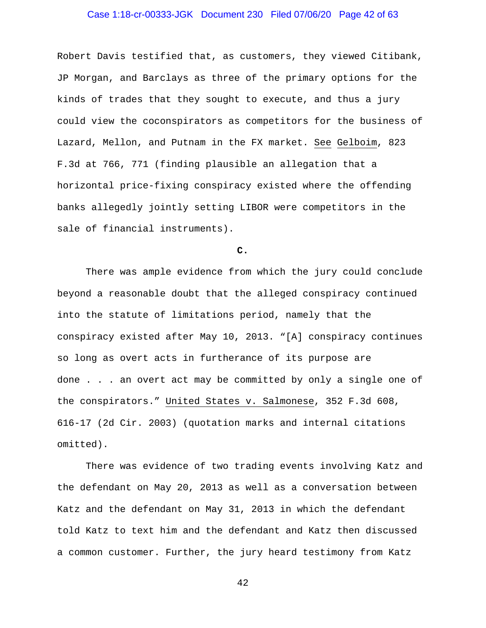# Case 1:18-cr-00333-JGK Document 230 Filed 07/06/20 Page 42 of 63

Robert Davis testified that, as customers, they viewed Citibank, JP Morgan, and Barclays as three of the primary options for the kinds of trades that they sought to execute, and thus a jury could view the coconspirators as competitors for the business of Lazard, Mellon, and Putnam in the FX market. See Gelboim, 823 F.3d at 766, 771 (finding plausible an allegation that a horizontal price-fixing conspiracy existed where the offending banks allegedly jointly setting LIBOR were competitors in the sale of financial instruments).

# **C.**

There was ample evidence from which the jury could conclude beyond a reasonable doubt that the alleged conspiracy continued into the statute of limitations period, namely that the conspiracy existed after May 10, 2013. "[A] conspiracy continues so long as overt acts in furtherance of its purpose are done . . . an overt act may be committed by only a single one of the conspirators." United States v. Salmonese, 352 F.3d 608, 616-17 (2d Cir. 2003) (quotation marks and internal citations omitted).

There was evidence of two trading events involving Katz and the defendant on May 20, 2013 as well as a conversation between Katz and the defendant on May 31, 2013 in which the defendant told Katz to text him and the defendant and Katz then discussed a common customer. Further, the jury heard testimony from Katz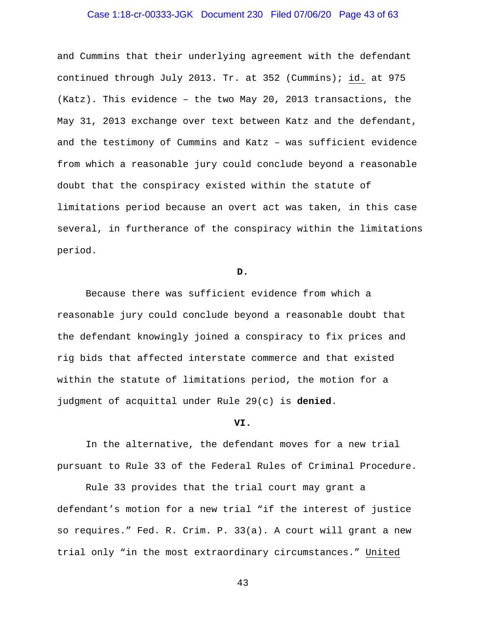# Case 1:18-cr-00333-JGK Document 230 Filed 07/06/20 Page 43 of 63

and Cummins that their underlying agreement with the defendant continued through July 2013. Tr. at 352 (Cummins); id. at 975 (Katz). This evidence – the two May 20, 2013 transactions, the May 31, 2013 exchange over text between Katz and the defendant, and the testimony of Cummins and Katz – was sufficient evidence from which a reasonable jury could conclude beyond a reasonable doubt that the conspiracy existed within the statute of limitations period because an overt act was taken, in this case several, in furtherance of the conspiracy within the limitations period.

#### **D.**

Because there was sufficient evidence from which a reasonable jury could conclude beyond a reasonable doubt that the defendant knowingly joined a conspiracy to fix prices and rig bids that affected interstate commerce and that existed within the statute of limitations period, the motion for a judgment of acquittal under Rule 29(c) is **denied**.

#### **VI.**

In the alternative, the defendant moves for a new trial pursuant to Rule 33 of the Federal Rules of Criminal Procedure.

Rule 33 provides that the trial court may grant a defendant's motion for a new trial "if the interest of justice so requires." Fed. R. Crim. P. 33(a). A court will grant a new trial only "in the most extraordinary circumstances." United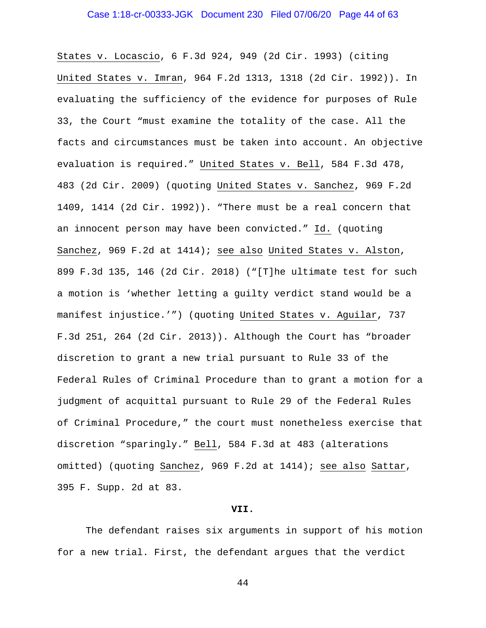## Case 1:18-cr-00333-JGK Document 230 Filed 07/06/20 Page 44 of 63

States v. Locascio, 6 F.3d 924, 949 (2d Cir. 1993) (citing United States v. Imran, 964 F.2d 1313, 1318 (2d Cir. 1992)). In evaluating the sufficiency of the evidence for purposes of Rule 33, the Court "must examine the totality of the case. All the facts and circumstances must be taken into account. An objective evaluation is required." United States v. Bell, 584 F.3d 478, 483 (2d Cir. 2009) (quoting United States v. Sanchez, 969 F.2d 1409, 1414 (2d Cir. 1992)). "There must be a real concern that an innocent person may have been convicted." Id. (quoting Sanchez, 969 F.2d at 1414); see also United States v. Alston, 899 F.3d 135, 146 (2d Cir. 2018) ("[T]he ultimate test for such a motion is 'whether letting a guilty verdict stand would be a manifest injustice.'") (quoting United States v. Aguilar, 737 F.3d 251, 264 (2d Cir. 2013)). Although the Court has "broader discretion to grant a new trial pursuant to Rule 33 of the Federal Rules of Criminal Procedure than to grant a motion for a judgment of acquittal pursuant to Rule 29 of the Federal Rules of Criminal Procedure," the court must nonetheless exercise that discretion "sparingly." Bell, 584 F.3d at 483 (alterations omitted) (quoting Sanchez, 969 F.2d at 1414); see also Sattar, 395 F. Supp. 2d at 83.

#### **VII.**

The defendant raises six arguments in support of his motion for a new trial. First, the defendant argues that the verdict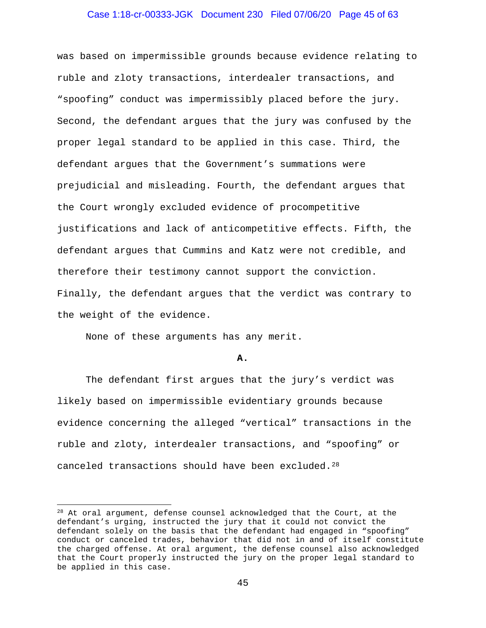#### Case 1:18-cr-00333-JGK Document 230 Filed 07/06/20 Page 45 of 63

was based on impermissible grounds because evidence relating to ruble and zloty transactions, interdealer transactions, and "spoofing" conduct was impermissibly placed before the jury. Second, the defendant argues that the jury was confused by the proper legal standard to be applied in this case. Third, the defendant argues that the Government's summations were prejudicial and misleading. Fourth, the defendant argues that the Court wrongly excluded evidence of procompetitive justifications and lack of anticompetitive effects. Fifth, the defendant argues that Cummins and Katz were not credible, and therefore their testimony cannot support the conviction. Finally, the defendant argues that the verdict was contrary to the weight of the evidence.

None of these arguments has any merit.

#### **A.**

The defendant first argues that the jury's verdict was likely based on impermissible evidentiary grounds because evidence concerning the alleged "vertical" transactions in the ruble and zloty, interdealer transactions, and "spoofing" or canceled transactions should have been excluded.28

<sup>&</sup>lt;sup>28</sup> At oral argument, defense counsel acknowledged that the Court, at the defendant's urging, instructed the jury that it could not convict the defendant solely on the basis that the defendant had engaged in "spoofing" conduct or canceled trades, behavior that did not in and of itself constitute the charged offense. At oral argument, the defense counsel also acknowledged that the Court properly instructed the jury on the proper legal standard to be applied in this case.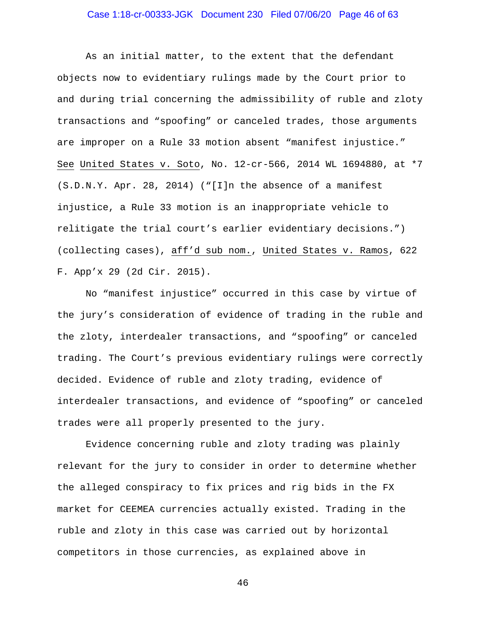### Case 1:18-cr-00333-JGK Document 230 Filed 07/06/20 Page 46 of 63

As an initial matter, to the extent that the defendant objects now to evidentiary rulings made by the Court prior to and during trial concerning the admissibility of ruble and zloty transactions and "spoofing" or canceled trades, those arguments are improper on a Rule 33 motion absent "manifest injustice." See United States v. Soto, No. 12-cr-566, 2014 WL 1694880, at \*7 (S.D.N.Y. Apr. 28, 2014) ("[I]n the absence of a manifest injustice, a Rule 33 motion is an inappropriate vehicle to relitigate the trial court's earlier evidentiary decisions.") (collecting cases), aff'd sub nom., United States v. Ramos, 622 F. App'x 29 (2d Cir. 2015).

No "manifest injustice" occurred in this case by virtue of the jury's consideration of evidence of trading in the ruble and the zloty, interdealer transactions, and "spoofing" or canceled trading. The Court's previous evidentiary rulings were correctly decided. Evidence of ruble and zloty trading, evidence of interdealer transactions, and evidence of "spoofing" or canceled trades were all properly presented to the jury.

Evidence concerning ruble and zloty trading was plainly relevant for the jury to consider in order to determine whether the alleged conspiracy to fix prices and rig bids in the FX market for CEEMEA currencies actually existed. Trading in the ruble and zloty in this case was carried out by horizontal competitors in those currencies, as explained above in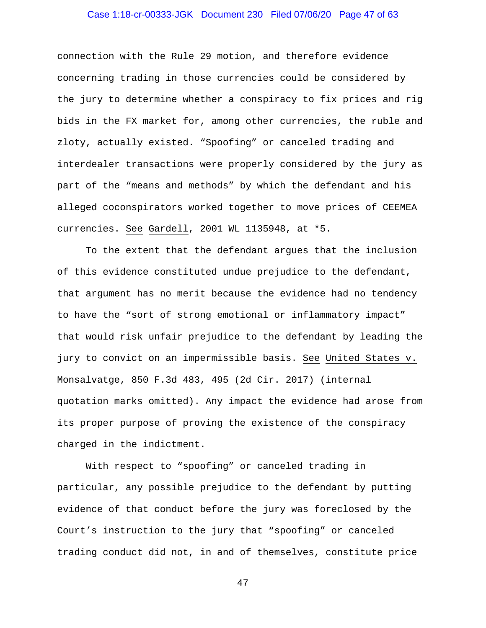# Case 1:18-cr-00333-JGK Document 230 Filed 07/06/20 Page 47 of 63

connection with the Rule 29 motion, and therefore evidence concerning trading in those currencies could be considered by the jury to determine whether a conspiracy to fix prices and rig bids in the FX market for, among other currencies, the ruble and zloty, actually existed. "Spoofing" or canceled trading and interdealer transactions were properly considered by the jury as part of the "means and methods" by which the defendant and his alleged coconspirators worked together to move prices of CEEMEA currencies. See Gardell, 2001 WL 1135948, at \*5.

To the extent that the defendant argues that the inclusion of this evidence constituted undue prejudice to the defendant, that argument has no merit because the evidence had no tendency to have the "sort of strong emotional or inflammatory impact" that would risk unfair prejudice to the defendant by leading the jury to convict on an impermissible basis. See United States v. Monsalvatge, 850 F.3d 483, 495 (2d Cir. 2017) (internal quotation marks omitted). Any impact the evidence had arose from its proper purpose of proving the existence of the conspiracy charged in the indictment.

With respect to "spoofing" or canceled trading in particular, any possible prejudice to the defendant by putting evidence of that conduct before the jury was foreclosed by the Court's instruction to the jury that "spoofing" or canceled trading conduct did not, in and of themselves, constitute price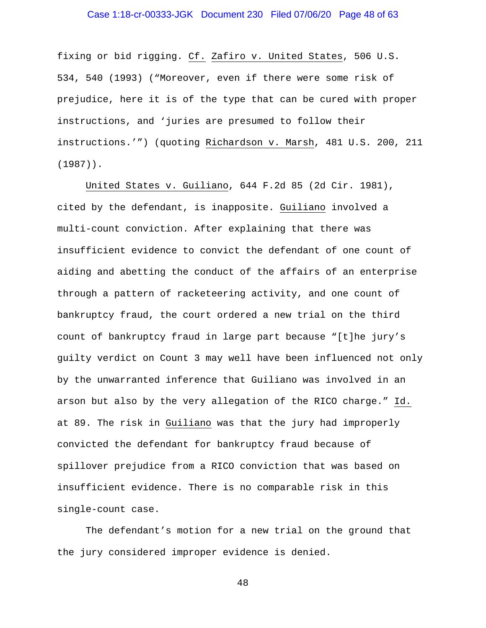### Case 1:18-cr-00333-JGK Document 230 Filed 07/06/20 Page 48 of 63

fixing or bid rigging. Cf. Zafiro v. United States, 506 U.S. 534, 540 (1993) ("Moreover, even if there were some risk of prejudice, here it is of the type that can be cured with proper instructions, and 'juries are presumed to follow their instructions.'") (quoting Richardson v. Marsh, 481 U.S. 200, 211 (1987)).

United States v. Guiliano, 644 F.2d 85 (2d Cir. 1981), cited by the defendant, is inapposite. Guiliano involved a multi-count conviction. After explaining that there was insufficient evidence to convict the defendant of one count of aiding and abetting the conduct of the affairs of an enterprise through a pattern of racketeering activity, and one count of bankruptcy fraud, the court ordered a new trial on the third count of bankruptcy fraud in large part because "[t]he jury's guilty verdict on Count 3 may well have been influenced not only by the unwarranted inference that Guiliano was involved in an arson but also by the very allegation of the RICO charge." Id. at 89. The risk in Guiliano was that the jury had improperly convicted the defendant for bankruptcy fraud because of spillover prejudice from a RICO conviction that was based on insufficient evidence. There is no comparable risk in this single-count case.

The defendant's motion for a new trial on the ground that the jury considered improper evidence is denied.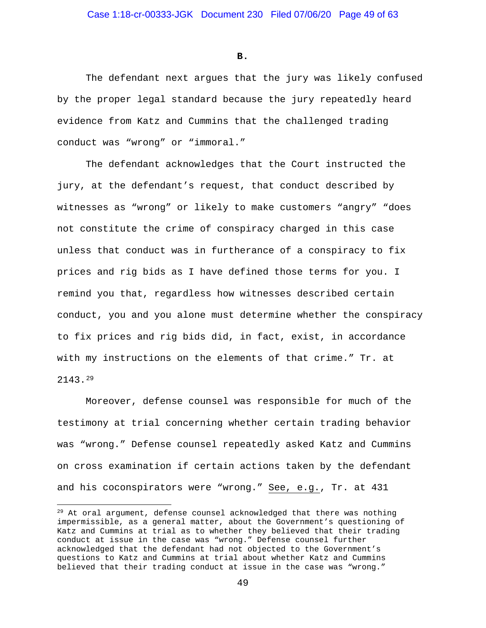**B.**

The defendant next argues that the jury was likely confused by the proper legal standard because the jury repeatedly heard evidence from Katz and Cummins that the challenged trading conduct was "wrong" or "immoral."

The defendant acknowledges that the Court instructed the jury, at the defendant's request, that conduct described by witnesses as "wrong" or likely to make customers "angry" "does not constitute the crime of conspiracy charged in this case unless that conduct was in furtherance of a conspiracy to fix prices and rig bids as I have defined those terms for you. I remind you that, regardless how witnesses described certain conduct, you and you alone must determine whether the conspiracy to fix prices and rig bids did, in fact, exist, in accordance with my instructions on the elements of that crime." Tr. at 2143.29

Moreover, defense counsel was responsible for much of the testimony at trial concerning whether certain trading behavior was "wrong." Defense counsel repeatedly asked Katz and Cummins on cross examination if certain actions taken by the defendant and his coconspirators were "wrong." See, e.g., Tr. at 431

<sup>&</sup>lt;sup>29</sup> At oral argument, defense counsel acknowledged that there was nothing impermissible, as a general matter, about the Government's questioning of Katz and Cummins at trial as to whether they believed that their trading conduct at issue in the case was "wrong." Defense counsel further acknowledged that the defendant had not objected to the Government's questions to Katz and Cummins at trial about whether Katz and Cummins believed that their trading conduct at issue in the case was "wrong."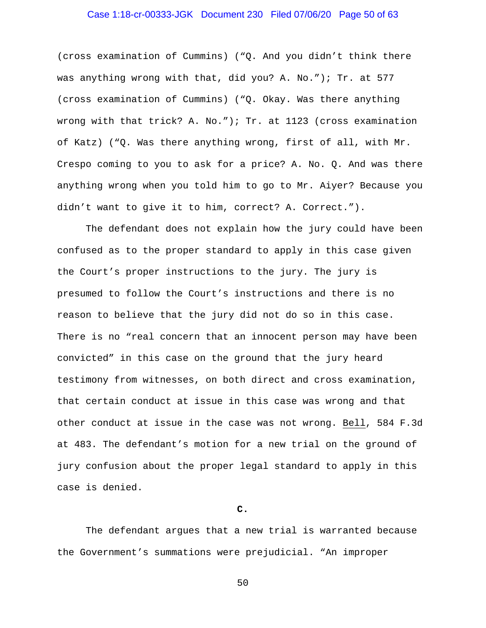# Case 1:18-cr-00333-JGK Document 230 Filed 07/06/20 Page 50 of 63

(cross examination of Cummins) ("Q. And you didn't think there was anything wrong with that, did you? A. No."); Tr. at 577 (cross examination of Cummins) ("Q. Okay. Was there anything wrong with that trick? A. No."); Tr. at 1123 (cross examination of Katz) ("Q. Was there anything wrong, first of all, with Mr. Crespo coming to you to ask for a price? A. No. Q. And was there anything wrong when you told him to go to Mr. Aiyer? Because you didn't want to give it to him, correct? A. Correct.").

The defendant does not explain how the jury could have been confused as to the proper standard to apply in this case given the Court's proper instructions to the jury. The jury is presumed to follow the Court's instructions and there is no reason to believe that the jury did not do so in this case. There is no "real concern that an innocent person may have been convicted" in this case on the ground that the jury heard testimony from witnesses, on both direct and cross examination, that certain conduct at issue in this case was wrong and that other conduct at issue in the case was not wrong. Bell, 584 F.3d at 483. The defendant's motion for a new trial on the ground of jury confusion about the proper legal standard to apply in this case is denied.

#### **C.**

The defendant argues that a new trial is warranted because the Government's summations were prejudicial. "An improper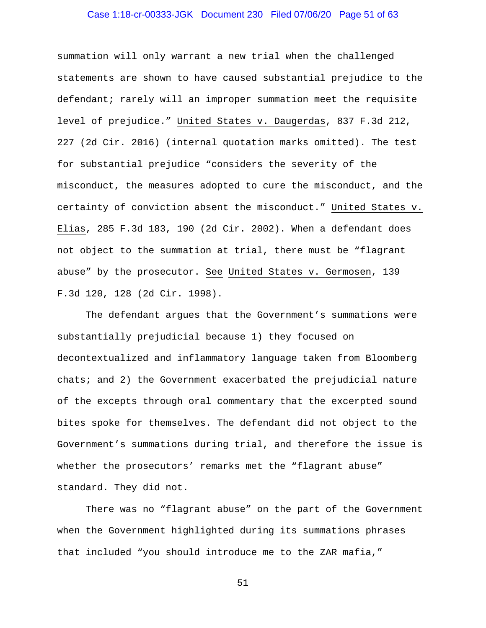### Case 1:18-cr-00333-JGK Document 230 Filed 07/06/20 Page 51 of 63

summation will only warrant a new trial when the challenged statements are shown to have caused substantial prejudice to the defendant; rarely will an improper summation meet the requisite level of prejudice." United States v. Daugerdas, 837 F.3d 212, 227 (2d Cir. 2016) (internal quotation marks omitted). The test for substantial prejudice "considers the severity of the misconduct, the measures adopted to cure the misconduct, and the certainty of conviction absent the misconduct." United States v. Elias, 285 F.3d 183, 190 (2d Cir. 2002). When a defendant does not object to the summation at trial, there must be "flagrant abuse" by the prosecutor. See United States v. Germosen, 139 F.3d 120, 128 (2d Cir. 1998).

The defendant argues that the Government's summations were substantially prejudicial because 1) they focused on decontextualized and inflammatory language taken from Bloomberg chats; and 2) the Government exacerbated the prejudicial nature of the excepts through oral commentary that the excerpted sound bites spoke for themselves. The defendant did not object to the Government's summations during trial, and therefore the issue is whether the prosecutors' remarks met the "flagrant abuse" standard. They did not.

There was no "flagrant abuse" on the part of the Government when the Government highlighted during its summations phrases that included "you should introduce me to the ZAR mafia,"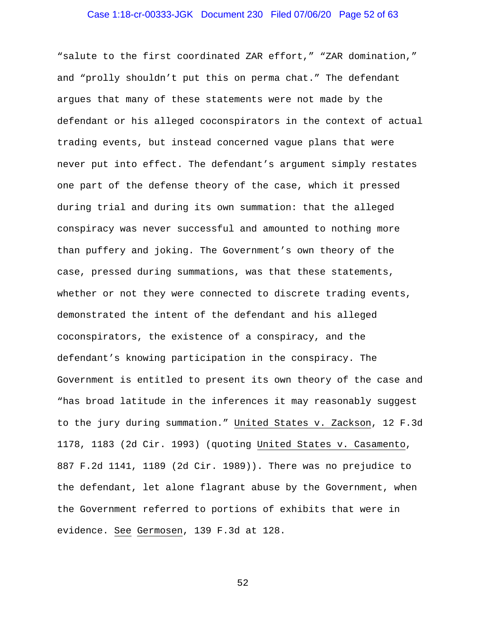#### Case 1:18-cr-00333-JGK Document 230 Filed 07/06/20 Page 52 of 63

"salute to the first coordinated ZAR effort," "ZAR domination," and "prolly shouldn't put this on perma chat." The defendant argues that many of these statements were not made by the defendant or his alleged coconspirators in the context of actual trading events, but instead concerned vague plans that were never put into effect. The defendant's argument simply restates one part of the defense theory of the case, which it pressed during trial and during its own summation: that the alleged conspiracy was never successful and amounted to nothing more than puffery and joking. The Government's own theory of the case, pressed during summations, was that these statements, whether or not they were connected to discrete trading events, demonstrated the intent of the defendant and his alleged coconspirators, the existence of a conspiracy, and the defendant's knowing participation in the conspiracy. The Government is entitled to present its own theory of the case and "has broad latitude in the inferences it may reasonably suggest to the jury during summation." United States v. Zackson, 12 F.3d 1178, 1183 (2d Cir. 1993) (quoting United States v. Casamento, 887 F.2d 1141, 1189 (2d Cir. 1989)). There was no prejudice to the defendant, let alone flagrant abuse by the Government, when the Government referred to portions of exhibits that were in evidence. See Germosen, 139 F.3d at 128.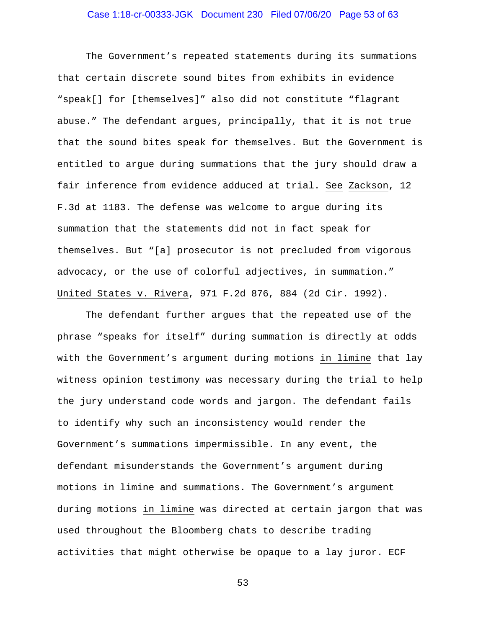### Case 1:18-cr-00333-JGK Document 230 Filed 07/06/20 Page 53 of 63

The Government's repeated statements during its summations that certain discrete sound bites from exhibits in evidence "speak[] for [themselves]" also did not constitute "flagrant abuse." The defendant argues, principally, that it is not true that the sound bites speak for themselves. But the Government is entitled to argue during summations that the jury should draw a fair inference from evidence adduced at trial. See Zackson, 12 F.3d at 1183. The defense was welcome to argue during its summation that the statements did not in fact speak for themselves. But "[a] prosecutor is not precluded from vigorous advocacy, or the use of colorful adjectives, in summation." United States v. Rivera, 971 F.2d 876, 884 (2d Cir. 1992).

The defendant further argues that the repeated use of the phrase "speaks for itself" during summation is directly at odds with the Government's argument during motions in limine that lay witness opinion testimony was necessary during the trial to help the jury understand code words and jargon. The defendant fails to identify why such an inconsistency would render the Government's summations impermissible. In any event, the defendant misunderstands the Government's argument during motions in limine and summations. The Government's argument during motions in limine was directed at certain jargon that was used throughout the Bloomberg chats to describe trading activities that might otherwise be opaque to a lay juror. ECF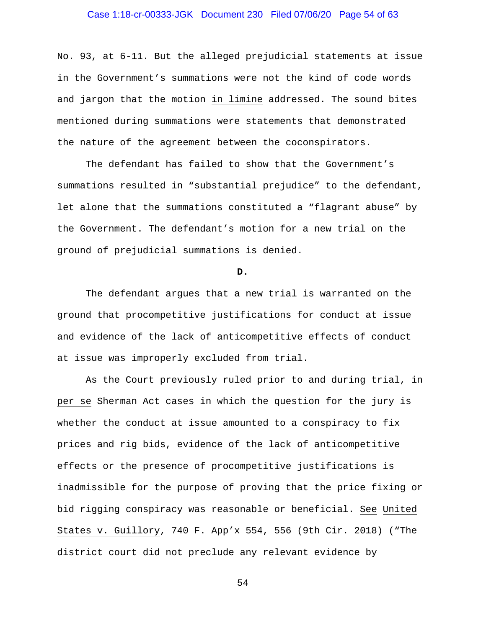# Case 1:18-cr-00333-JGK Document 230 Filed 07/06/20 Page 54 of 63

No. 93, at 6-11. But the alleged prejudicial statements at issue in the Government's summations were not the kind of code words and jargon that the motion in limine addressed. The sound bites mentioned during summations were statements that demonstrated the nature of the agreement between the coconspirators.

The defendant has failed to show that the Government's summations resulted in "substantial prejudice" to the defendant, let alone that the summations constituted a "flagrant abuse" by the Government. The defendant's motion for a new trial on the ground of prejudicial summations is denied.

#### **D.**

The defendant argues that a new trial is warranted on the ground that procompetitive justifications for conduct at issue and evidence of the lack of anticompetitive effects of conduct at issue was improperly excluded from trial.

As the Court previously ruled prior to and during trial, in per se Sherman Act cases in which the question for the jury is whether the conduct at issue amounted to a conspiracy to fix prices and rig bids, evidence of the lack of anticompetitive effects or the presence of procompetitive justifications is inadmissible for the purpose of proving that the price fixing or bid rigging conspiracy was reasonable or beneficial. See United States v. Guillory, 740 F. App'x 554, 556 (9th Cir. 2018) ("The district court did not preclude any relevant evidence by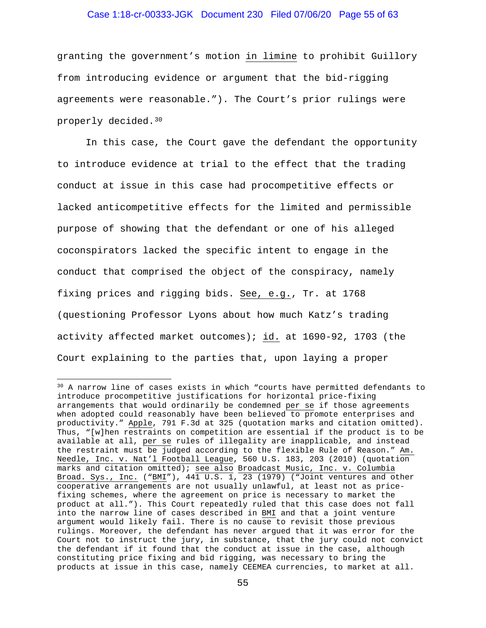# Case 1:18-cr-00333-JGK Document 230 Filed 07/06/20 Page 55 of 63

granting the government's motion in limine to prohibit Guillory from introducing evidence or argument that the bid-rigging agreements were reasonable."). The Court's prior rulings were properly decided.30

In this case, the Court gave the defendant the opportunity to introduce evidence at trial to the effect that the trading conduct at issue in this case had procompetitive effects or lacked anticompetitive effects for the limited and permissible purpose of showing that the defendant or one of his alleged coconspirators lacked the specific intent to engage in the conduct that comprised the object of the conspiracy, namely fixing prices and rigging bids. See, e.g., Tr. at 1768 (questioning Professor Lyons about how much Katz's trading activity affected market outcomes); id. at 1690-92, 1703 (the Court explaining to the parties that, upon laying a proper

<sup>30</sup> A narrow line of cases exists in which "courts have permitted defendants to introduce procompetitive justifications for horizontal price-fixing arrangements that would ordinarily be condemned per se if those agreements when adopted could reasonably have been believed to promote enterprises and productivity." Apple, 791 F.3d at 325 (quotation marks and citation omitted). Thus, "[w]hen restraints on competition are essential if the product is to be available at all, per se rules of illegality are inapplicable, and instead the restraint must be judged according to the flexible Rule of Reason." Am. Needle, Inc. v. Nat'l Football League, 560 U.S. 183, 203 (2010) (quotation marks and citation omitted); see also Broadcast Music, Inc. v. Columbia Broad. Sys., Inc. ("BMI"),  $44\overline{1}$  U.S. 1, 23 (1979) ("Joint ventures and other cooperative arrangements are not usually unlawful, at least not as pricefixing schemes, where the agreement on price is necessary to market the product at all."). This Court repeatedly ruled that this case does not fall into the narrow line of cases described in BMI and that a joint venture argument would likely fail. There is no cause to revisit those previous rulings. Moreover, the defendant has never argued that it was error for the Court not to instruct the jury, in substance, that the jury could not convict the defendant if it found that the conduct at issue in the case, although constituting price fixing and bid rigging, was necessary to bring the products at issue in this case, namely CEEMEA currencies, to market at all.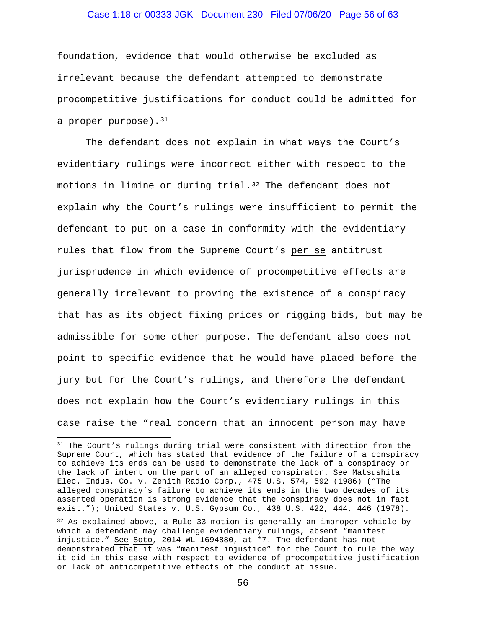# Case 1:18-cr-00333-JGK Document 230 Filed 07/06/20 Page 56 of 63

foundation, evidence that would otherwise be excluded as irrelevant because the defendant attempted to demonstrate procompetitive justifications for conduct could be admitted for a proper purpose).  $31$ 

The defendant does not explain in what ways the Court's evidentiary rulings were incorrect either with respect to the motions in limine or during trial.<sup>32</sup> The defendant does not explain why the Court's rulings were insufficient to permit the defendant to put on a case in conformity with the evidentiary rules that flow from the Supreme Court's per se antitrust jurisprudence in which evidence of procompetitive effects are generally irrelevant to proving the existence of a conspiracy that has as its object fixing prices or rigging bids, but may be admissible for some other purpose. The defendant also does not point to specific evidence that he would have placed before the jury but for the Court's rulings, and therefore the defendant does not explain how the Court's evidentiary rulings in this case raise the "real concern that an innocent person may have

<sup>&</sup>lt;sup>31</sup> The Court's rulings during trial were consistent with direction from the Supreme Court, which has stated that evidence of the failure of a conspiracy to achieve its ends can be used to demonstrate the lack of a conspiracy or the lack of intent on the part of an alleged conspirator. See Matsushita Elec. Indus. Co. v. Zenith Radio Corp., 475 U.S. 574, 592 (1986) ("The alleged conspiracy's failure to achieve its ends in the two decades of its asserted operation is strong evidence that the conspiracy does not in fact exist."); United States v. U.S. Gypsum Co., 438 U.S. 422, 444, 446 (1978).

 $32$  As explained above, a Rule 33 motion is generally an improper vehicle by which a defendant may challenge evidentiary rulings, absent "manifest injustice." See Soto, 2014 WL 1694880, at \*7. The defendant has not demonstrated that it was "manifest injustice" for the Court to rule the way it did in this case with respect to evidence of procompetitive justification or lack of anticompetitive effects of the conduct at issue.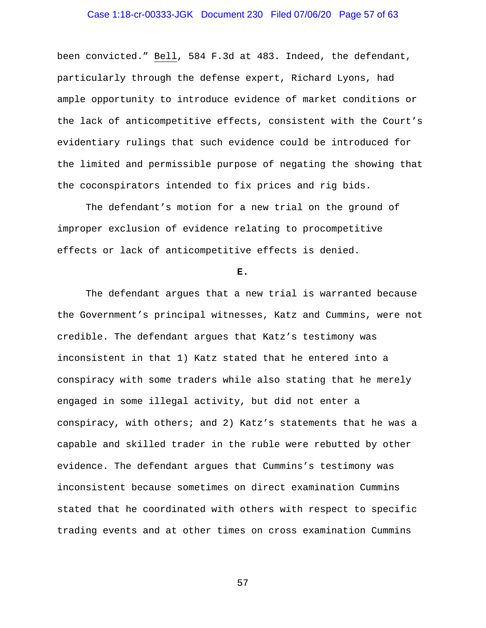# Case 1:18-cr-00333-JGK Document 230 Filed 07/06/20 Page 57 of 63

been convicted." Bell, 584 F.3d at 483. Indeed, the defendant, particularly through the defense expert, Richard Lyons, had ample opportunity to introduce evidence of market conditions or the lack of anticompetitive effects, consistent with the Court's evidentiary rulings that such evidence could be introduced for the limited and permissible purpose of negating the showing that the coconspirators intended to fix prices and rig bids.

The defendant's motion for a new trial on the ground of improper exclusion of evidence relating to procompetitive effects or lack of anticompetitive effects is denied.

#### **E.**

The defendant argues that a new trial is warranted because the Government's principal witnesses, Katz and Cummins, were not credible. The defendant argues that Katz's testimony was inconsistent in that 1) Katz stated that he entered into a conspiracy with some traders while also stating that he merely engaged in some illegal activity, but did not enter a conspiracy, with others; and 2) Katz's statements that he was a capable and skilled trader in the ruble were rebutted by other evidence. The defendant argues that Cummins's testimony was inconsistent because sometimes on direct examination Cummins stated that he coordinated with others with respect to specific trading events and at other times on cross examination Cummins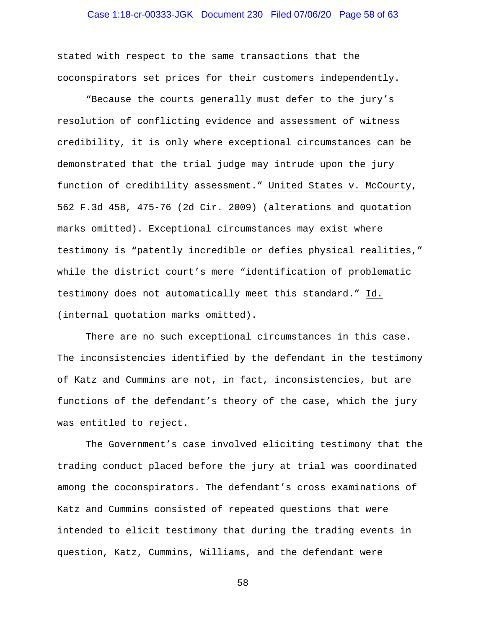### Case 1:18-cr-00333-JGK Document 230 Filed 07/06/20 Page 58 of 63

stated with respect to the same transactions that the coconspirators set prices for their customers independently.

"Because the courts generally must defer to the jury's resolution of conflicting evidence and assessment of witness credibility, it is only where exceptional circumstances can be demonstrated that the trial judge may intrude upon the jury function of credibility assessment." United States v. McCourty, 562 F.3d 458, 475-76 (2d Cir. 2009) (alterations and quotation marks omitted). Exceptional circumstances may exist where testimony is "patently incredible or defies physical realities," while the district court's mere "identification of problematic testimony does not automatically meet this standard." Id. (internal quotation marks omitted).

There are no such exceptional circumstances in this case. The inconsistencies identified by the defendant in the testimony of Katz and Cummins are not, in fact, inconsistencies, but are functions of the defendant's theory of the case, which the jury was entitled to reject.

The Government's case involved eliciting testimony that the trading conduct placed before the jury at trial was coordinated among the coconspirators. The defendant's cross examinations of Katz and Cummins consisted of repeated questions that were intended to elicit testimony that during the trading events in question, Katz, Cummins, Williams, and the defendant were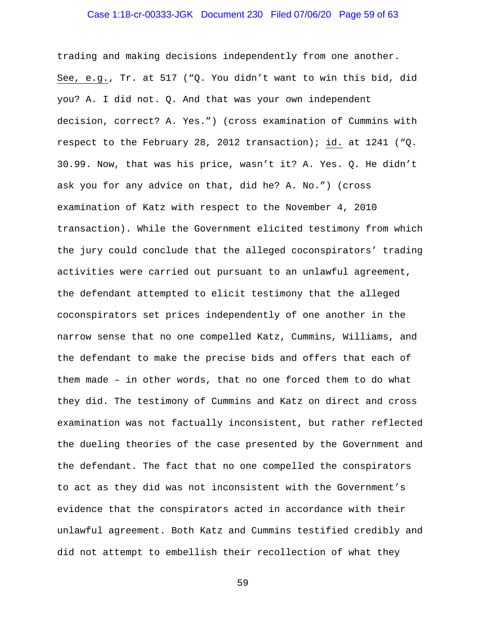#### Case 1:18-cr-00333-JGK Document 230 Filed 07/06/20 Page 59 of 63

trading and making decisions independently from one another. See, e.g., Tr. at 517 ("Q. You didn't want to win this bid, did you? A. I did not. Q. And that was your own independent decision, correct? A. Yes.") (cross examination of Cummins with respect to the February 28, 2012 transaction); id. at 1241 ("Q. 30.99. Now, that was his price, wasn't it? A. Yes. Q. He didn't ask you for any advice on that, did he? A. No.") (cross examination of Katz with respect to the November 4, 2010 transaction). While the Government elicited testimony from which the jury could conclude that the alleged coconspirators' trading activities were carried out pursuant to an unlawful agreement, the defendant attempted to elicit testimony that the alleged coconspirators set prices independently of one another in the narrow sense that no one compelled Katz, Cummins, Williams, and the defendant to make the precise bids and offers that each of them made – in other words, that no one forced them to do what they did. The testimony of Cummins and Katz on direct and cross examination was not factually inconsistent, but rather reflected the dueling theories of the case presented by the Government and the defendant. The fact that no one compelled the conspirators to act as they did was not inconsistent with the Government's evidence that the conspirators acted in accordance with their unlawful agreement. Both Katz and Cummins testified credibly and did not attempt to embellish their recollection of what they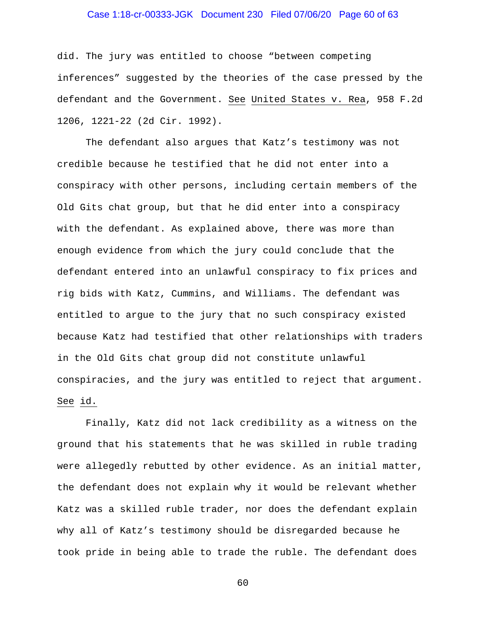# Case 1:18-cr-00333-JGK Document 230 Filed 07/06/20 Page 60 of 63

did. The jury was entitled to choose "between competing inferences" suggested by the theories of the case pressed by the defendant and the Government. See United States v. Rea, 958 F.2d 1206, 1221-22 (2d Cir. 1992).

The defendant also argues that Katz's testimony was not credible because he testified that he did not enter into a conspiracy with other persons, including certain members of the Old Gits chat group, but that he did enter into a conspiracy with the defendant. As explained above, there was more than enough evidence from which the jury could conclude that the defendant entered into an unlawful conspiracy to fix prices and rig bids with Katz, Cummins, and Williams. The defendant was entitled to argue to the jury that no such conspiracy existed because Katz had testified that other relationships with traders in the Old Gits chat group did not constitute unlawful conspiracies, and the jury was entitled to reject that argument. See id.

Finally, Katz did not lack credibility as a witness on the ground that his statements that he was skilled in ruble trading were allegedly rebutted by other evidence. As an initial matter, the defendant does not explain why it would be relevant whether Katz was a skilled ruble trader, nor does the defendant explain why all of Katz's testimony should be disregarded because he took pride in being able to trade the ruble. The defendant does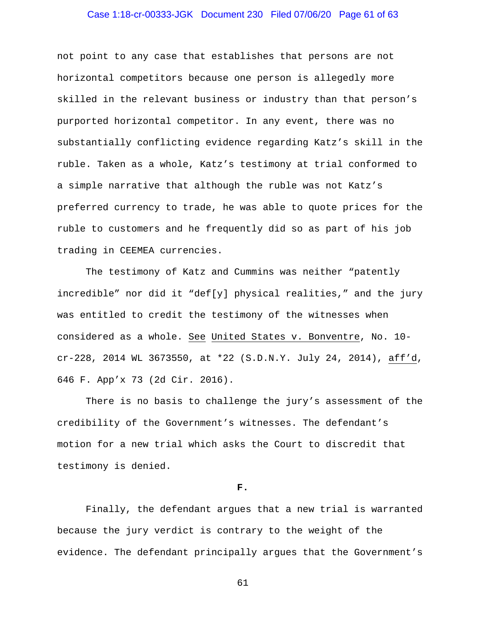### Case 1:18-cr-00333-JGK Document 230 Filed 07/06/20 Page 61 of 63

not point to any case that establishes that persons are not horizontal competitors because one person is allegedly more skilled in the relevant business or industry than that person's purported horizontal competitor. In any event, there was no substantially conflicting evidence regarding Katz's skill in the ruble. Taken as a whole, Katz's testimony at trial conformed to a simple narrative that although the ruble was not Katz's preferred currency to trade, he was able to quote prices for the ruble to customers and he frequently did so as part of his job trading in CEEMEA currencies.

The testimony of Katz and Cummins was neither "patently incredible" nor did it "def[y] physical realities," and the jury was entitled to credit the testimony of the witnesses when considered as a whole. See United States v. Bonventre, No. 10 cr-228, 2014 WL 3673550, at \*22 (S.D.N.Y. July 24, 2014), aff'd, 646 F. App'x 73 (2d Cir. 2016).

There is no basis to challenge the jury's assessment of the credibility of the Government's witnesses. The defendant's motion for a new trial which asks the Court to discredit that testimony is denied.

#### **F.**

Finally, the defendant argues that a new trial is warranted because the jury verdict is contrary to the weight of the evidence. The defendant principally argues that the Government's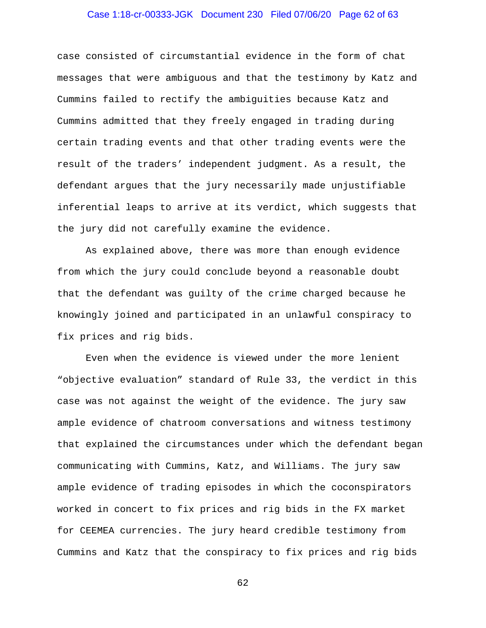### Case 1:18-cr-00333-JGK Document 230 Filed 07/06/20 Page 62 of 63

case consisted of circumstantial evidence in the form of chat messages that were ambiguous and that the testimony by Katz and Cummins failed to rectify the ambiguities because Katz and Cummins admitted that they freely engaged in trading during certain trading events and that other trading events were the result of the traders' independent judgment. As a result, the defendant argues that the jury necessarily made unjustifiable inferential leaps to arrive at its verdict, which suggests that the jury did not carefully examine the evidence.

As explained above, there was more than enough evidence from which the jury could conclude beyond a reasonable doubt that the defendant was guilty of the crime charged because he knowingly joined and participated in an unlawful conspiracy to fix prices and rig bids.

Even when the evidence is viewed under the more lenient "objective evaluation" standard of Rule 33, the verdict in this case was not against the weight of the evidence. The jury saw ample evidence of chatroom conversations and witness testimony that explained the circumstances under which the defendant began communicating with Cummins, Katz, and Williams. The jury saw ample evidence of trading episodes in which the coconspirators worked in concert to fix prices and rig bids in the FX market for CEEMEA currencies. The jury heard credible testimony from Cummins and Katz that the conspiracy to fix prices and rig bids